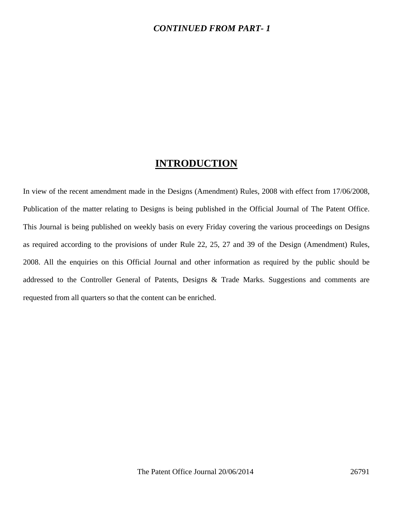## *CONTINUED FROM PART- 1*

## **INTRODUCTION**

In view of the recent amendment made in the Designs (Amendment) Rules, 2008 with effect from 17/06/2008, Publication of the matter relating to Designs is being published in the Official Journal of The Patent Office. This Journal is being published on weekly basis on every Friday covering the various proceedings on Designs as required according to the provisions of under Rule 22, 25, 27 and 39 of the Design (Amendment) Rules, 2008. All the enquiries on this Official Journal and other information as required by the public should be addressed to the Controller General of Patents, Designs & Trade Marks. Suggestions and comments are requested from all quarters so that the content can be enriched.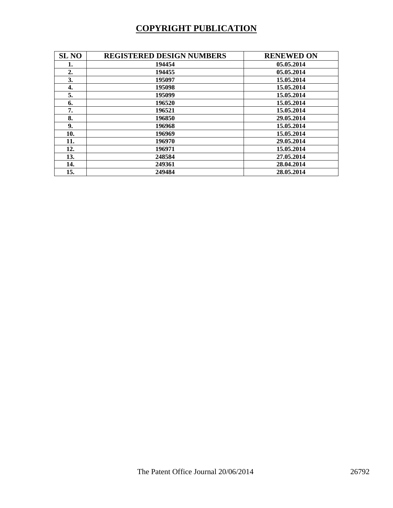## **COPYRIGHT PUBLICATION**

| <b>SL NO</b> | <b>REGISTERED DESIGN NUMBERS</b> | <b>RENEWED ON</b> |
|--------------|----------------------------------|-------------------|
| 1.           | 194454                           | 05.05.2014        |
| 2.           | 194455                           | 05.05.2014        |
| 3.           | 195097                           | 15.05.2014        |
| 4.           | 195098                           | 15.05.2014        |
| 5.           | 195099                           | 15.05.2014        |
| 6.           | 196520                           | 15.05.2014        |
| 7.           | 196521                           | 15.05.2014        |
| 8.           | 196850                           | 29.05.2014        |
| 9.           | 196968                           | 15.05.2014        |
| 10.          | 196969                           | 15.05.2014        |
| 11.          | 196970                           | 29.05.2014        |
| 12.          | 196971                           | 15.05.2014        |
| 13.          | 248584                           | 27.05.2014        |
| 14.          | 249361                           | 28.04.2014        |
| 15.          | 249484                           | 28.05.2014        |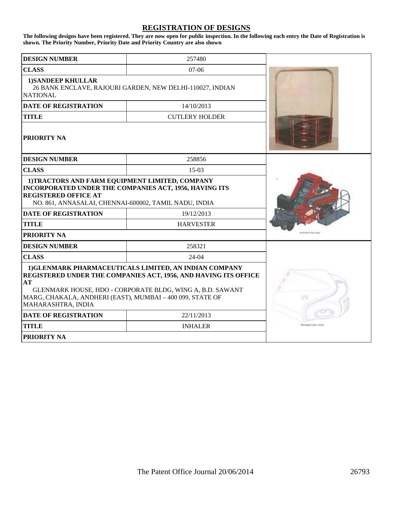## **REGISTRATION OF DESIGNS**

**The following designs have been registered. They are now open for public inspection. In the following each entry the Date of Registration is shown. The Priority Number, Priority Date and Priority Country are also shown**

| <b>DESIGN NUMBER</b>                                                                                                                                                                                                                                                                   | 257480                                                    |                  |
|----------------------------------------------------------------------------------------------------------------------------------------------------------------------------------------------------------------------------------------------------------------------------------------|-----------------------------------------------------------|------------------|
| <b>CLASS</b>                                                                                                                                                                                                                                                                           | 07-06                                                     |                  |
| <b>1)SANDEEP KHULLAR</b><br><b>NATIONAL</b>                                                                                                                                                                                                                                            | 26 BANK ENCLAVE, RAJOURI GARDEN, NEW DELHI-110027, INDIAN |                  |
| <b>DATE OF REGISTRATION</b>                                                                                                                                                                                                                                                            | 14/10/2013                                                |                  |
| <b>TITLE</b>                                                                                                                                                                                                                                                                           | <b>CUTLERY HOLDER</b>                                     |                  |
| <b>PRIORITY NA</b>                                                                                                                                                                                                                                                                     |                                                           |                  |
| <b>DESIGN NUMBER</b>                                                                                                                                                                                                                                                                   | 258856                                                    |                  |
| <b>CLASS</b>                                                                                                                                                                                                                                                                           | $15-03$                                                   |                  |
| 1)TRACTORS AND FARM EQUIPMENT LIMITED, COMPANY<br>INCORPORATED UNDER THE COMPANIES ACT, 1956, HAVING ITS<br><b>REGISTERED OFFICE AT</b><br>NO. 861, ANNASALAI, CHENNAI-600002, TAMIL NADU, INDIA                                                                                       |                                                           |                  |
| <b>DATE OF REGISTRATION</b><br>19/12/2013                                                                                                                                                                                                                                              |                                                           |                  |
| <b>TITLE</b>                                                                                                                                                                                                                                                                           | <b>HARVESTER</b>                                          |                  |
| <b>PRIORITY NA</b>                                                                                                                                                                                                                                                                     |                                                           |                  |
| <b>DESIGN NUMBER</b>                                                                                                                                                                                                                                                                   | 258321                                                    |                  |
| <b>CLASS</b>                                                                                                                                                                                                                                                                           | $24-04$                                                   |                  |
| 1) GLENMARK PHARMACEUTICALS LIMITED, AN INDIAN COMPANY<br><b>REGISTERED UNDER THE COMPANIES ACT, 1956, AND HAVING ITS OFFICE</b><br>AT<br>GLENMARK HOUSE, HDO - CORPORATE BLDG, WING A, B.D. SAWANT<br>MARG, CHAKALA, ANDHERI (EAST), MUMBAI - 400 099, STATE OF<br>MAHARASHTRA, INDIA |                                                           |                  |
| <b>DATE OF REGISTRATION</b>                                                                                                                                                                                                                                                            | 22/11/2013                                                |                  |
| <b>TITLE</b>                                                                                                                                                                                                                                                                           | <b>INHALER</b>                                            | Perspective view |
| <b>PRIORITY NA</b>                                                                                                                                                                                                                                                                     |                                                           |                  |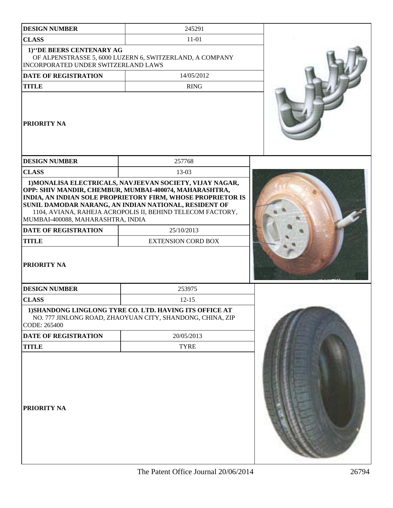| <b>DESIGN NUMBER</b>                                                                                   | 245291                                                                                                                                                                                                                                                                                  |  |
|--------------------------------------------------------------------------------------------------------|-----------------------------------------------------------------------------------------------------------------------------------------------------------------------------------------------------------------------------------------------------------------------------------------|--|
| <b>CLASS</b>                                                                                           | 11-01                                                                                                                                                                                                                                                                                   |  |
| 1)"DE BEERS CENTENARY AG<br><b>INCORPORATED UNDER SWITZERLAND LAWS</b>                                 | OF ALPENSTRASSE 5, 6000 LUZERN 6, SWITZERLAND, A COMPANY                                                                                                                                                                                                                                |  |
| DATE OF REGISTRATION                                                                                   | 14/05/2012                                                                                                                                                                                                                                                                              |  |
| <b>TITLE</b>                                                                                           | <b>RING</b>                                                                                                                                                                                                                                                                             |  |
| <b>PRIORITY NA</b>                                                                                     |                                                                                                                                                                                                                                                                                         |  |
| <b>DESIGN NUMBER</b>                                                                                   | 257768                                                                                                                                                                                                                                                                                  |  |
| <b>CLASS</b>                                                                                           | 13-03                                                                                                                                                                                                                                                                                   |  |
| MUMBAI-400088, MAHARASHTRA, INDIA<br><b>DATE OF REGISTRATION</b><br><b>TITLE</b><br><b>PRIORITY NA</b> | OPP: SHIV MANDIR, CHEMBUR, MUMBAI-400074, MAHARASHTRA,<br>INDIA, AN INDIAN SOLE PROPRIETORY FIRM, WHOSE PROPRIETOR IS<br>SUNIL DAMODAR NARANG, AN INDIAN NATIONAL, RESIDENT OF<br>1104, AVIANA, RAHEJA ACROPOLIS II, BEHIND TELECOM FACTORY,<br>25/10/2013<br><b>EXTENSION CORD BOX</b> |  |
| <b>DESIGN NUMBER</b>                                                                                   | 253975                                                                                                                                                                                                                                                                                  |  |
| <b>CLASS</b>                                                                                           | $12 - 15$                                                                                                                                                                                                                                                                               |  |
| CODE: 265400                                                                                           | 1) SHANDONG LINGLONG TYRE CO. LTD. HAVING ITS OFFICE AT<br>NO. 777 JINLONG ROAD, ZHAOYUAN CITY, SHANDONG, CHINA, ZIP                                                                                                                                                                    |  |
| <b>DATE OF REGISTRATION</b>                                                                            | 20/05/2013                                                                                                                                                                                                                                                                              |  |
| <b>TITLE</b>                                                                                           | <b>TYRE</b>                                                                                                                                                                                                                                                                             |  |
| PRIORITY NA                                                                                            |                                                                                                                                                                                                                                                                                         |  |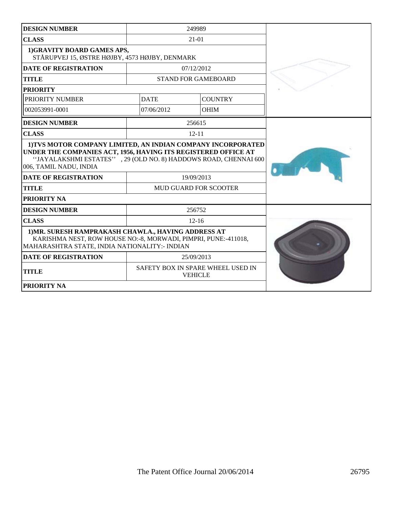| <b>DESIGN NUMBER</b>                                                                                                                                                                                                        | 249989                       |                            |  |
|-----------------------------------------------------------------------------------------------------------------------------------------------------------------------------------------------------------------------------|------------------------------|----------------------------|--|
| <b>CLASS</b>                                                                                                                                                                                                                |                              | $21 - 01$                  |  |
| 1)GRAVITY BOARD GAMES APS,<br>STÅRUPVEJ 15, ØSTRE HØJBY, 4573 HØJBY, DENMARK                                                                                                                                                |                              |                            |  |
| <b>DATE OF REGISTRATION</b>                                                                                                                                                                                                 |                              | 07/12/2012                 |  |
| <b>TITLE</b>                                                                                                                                                                                                                |                              | <b>STAND FOR GAMEBOARD</b> |  |
| <b>PRIORITY</b>                                                                                                                                                                                                             |                              |                            |  |
| PRIORITY NUMBER                                                                                                                                                                                                             | <b>DATE</b>                  | <b>COUNTRY</b>             |  |
| 002053991-0001                                                                                                                                                                                                              | 07/06/2012                   | <b>OHIM</b>                |  |
| <b>DESIGN NUMBER</b>                                                                                                                                                                                                        |                              | 256615                     |  |
| <b>CLASS</b>                                                                                                                                                                                                                |                              | $12 - 11$                  |  |
| 1) TVS MOTOR COMPANY LIMITED, AN INDIAN COMPANY INCORPORATED<br>UNDER THE COMPANIES ACT, 1956, HAVING ITS REGISTERED OFFICE AT<br>"JAYALAKSHMI ESTATES", 29 (OLD NO. 8) HADDOWS ROAD, CHENNAI 600<br>006, TAMIL NADU, INDIA |                              |                            |  |
| <b>DATE OF REGISTRATION</b>                                                                                                                                                                                                 | 19/09/2013                   |                            |  |
| <b>TITLE</b>                                                                                                                                                                                                                | <b>MUD GUARD FOR SCOOTER</b> |                            |  |
| PRIORITY NA                                                                                                                                                                                                                 |                              |                            |  |
| <b>DESIGN NUMBER</b>                                                                                                                                                                                                        | 256752                       |                            |  |
| <b>CLASS</b>                                                                                                                                                                                                                |                              | $12 - 16$                  |  |
| 1) MR. SURESH RAMPRAKASH CHAWLA., HAVING ADDRESS AT<br>KARISHMA NEST, ROW HOUSE NO:-8, MORWADI, PIMPRI, PUNE:-411018,<br>MAHARASHTRA STATE, INDIA NATIONALITY: - INDIAN                                                     |                              |                            |  |
| <b>DATE OF REGISTRATION</b><br>25/09/2013                                                                                                                                                                                   |                              |                            |  |
| SAFETY BOX IN SPARE WHEEL USED IN<br><b>TITLE</b><br><b>VEHICLE</b>                                                                                                                                                         |                              |                            |  |
| <b>PRIORITY NA</b>                                                                                                                                                                                                          |                              |                            |  |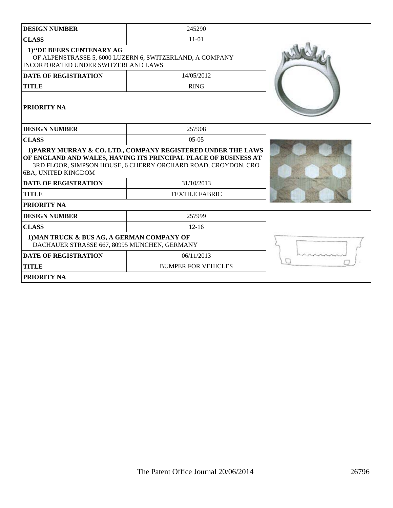| <b>DESIGN NUMBER</b>                                                                                                               | 245290                                                                                                                                                                                            |  |
|------------------------------------------------------------------------------------------------------------------------------------|---------------------------------------------------------------------------------------------------------------------------------------------------------------------------------------------------|--|
| <b>CLASS</b>                                                                                                                       | $11-01$                                                                                                                                                                                           |  |
| 1)"DE BEERS CENTENARY AG<br>OF ALPENSTRASSE 5, 6000 LUZERN 6, SWITZERLAND, A COMPANY<br><b>INCORPORATED UNDER SWITZERLAND LAWS</b> |                                                                                                                                                                                                   |  |
| <b>DATE OF REGISTRATION</b>                                                                                                        | 14/05/2012                                                                                                                                                                                        |  |
| <b>TITLE</b>                                                                                                                       | <b>RING</b>                                                                                                                                                                                       |  |
| PRIORITY NA                                                                                                                        |                                                                                                                                                                                                   |  |
| <b>DESIGN NUMBER</b>                                                                                                               | 257908                                                                                                                                                                                            |  |
| <b>CLASS</b>                                                                                                                       | $0.5 - 0.5$                                                                                                                                                                                       |  |
| 6BA, UNITED KINGDOM                                                                                                                | 1) PARRY MURRAY & CO. LTD., COMPANY REGISTERED UNDER THE LAWS<br>OF ENGLAND AND WALES, HAVING ITS PRINCIPAL PLACE OF BUSINESS AT<br>3RD FLOOR, SIMPSON HOUSE, 6 CHERRY ORCHARD ROAD, CROYDON, CRO |  |
| <b>DATE OF REGISTRATION</b>                                                                                                        | 31/10/2013                                                                                                                                                                                        |  |
| <b>TITLE</b>                                                                                                                       | <b>TEXTILE FABRIC</b>                                                                                                                                                                             |  |
| PRIORITY NA                                                                                                                        |                                                                                                                                                                                                   |  |
| <b>DESIGN NUMBER</b>                                                                                                               | 257999                                                                                                                                                                                            |  |
| <b>CLASS</b>                                                                                                                       | $12 - 16$                                                                                                                                                                                         |  |
| 1) MAN TRUCK & BUS AG, A GERMAN COMPANY OF<br>DACHAUER STRASSE 667, 80995 MÜNCHEN, GERMANY                                         |                                                                                                                                                                                                   |  |
| <b>DATE OF REGISTRATION</b>                                                                                                        | 06/11/2013                                                                                                                                                                                        |  |
| <b>TITLE</b>                                                                                                                       | <b>BUMPER FOR VEHICLES</b>                                                                                                                                                                        |  |
| PRIORITY NA                                                                                                                        |                                                                                                                                                                                                   |  |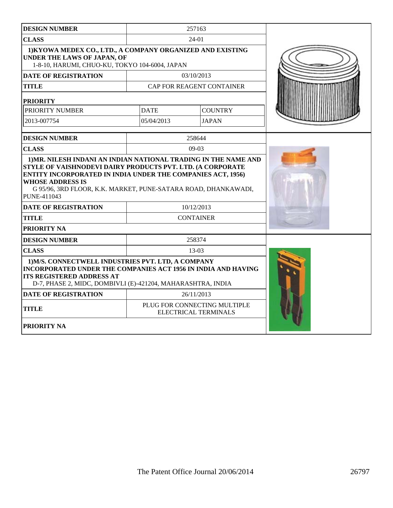| 257163<br><b>DESIGN NUMBER</b>                                                                                                                                                                                                               |             |                           |  |
|----------------------------------------------------------------------------------------------------------------------------------------------------------------------------------------------------------------------------------------------|-------------|---------------------------|--|
| <b>CLASS</b>                                                                                                                                                                                                                                 | 24-01       |                           |  |
| 1) KYOWA MEDEX CO., LTD., A COMPANY ORGANIZED AND EXISTING<br><b>UNDER THE LAWS OF JAPAN, OF</b><br>1-8-10, HARUMI, CHUO-KU, TOKYO 104-6004, JAPAN                                                                                           |             |                           |  |
| <b>DATE OF REGISTRATION</b>                                                                                                                                                                                                                  |             | 03/10/2013                |  |
| <b>TITLE</b>                                                                                                                                                                                                                                 |             | CAP FOR REAGENT CONTAINER |  |
| <b>PRIORITY</b>                                                                                                                                                                                                                              |             |                           |  |
| PRIORITY NUMBER                                                                                                                                                                                                                              | <b>DATE</b> | <b>COUNTRY</b>            |  |
| 2013-007754                                                                                                                                                                                                                                  | 05/04/2013  | <b>JAPAN</b>              |  |
| <b>DESIGN NUMBER</b>                                                                                                                                                                                                                         |             | 258644                    |  |
| <b>CLASS</b>                                                                                                                                                                                                                                 |             | $09-03$                   |  |
| STYLE OF VAISHNODEVI DAIRY PRODUCTS PVT. LTD. (A CORPORATE<br><b>ENTITY INCORPORATED IN INDIA UNDER THE COMPANIES ACT, 1956)</b><br><b>WHOSE ADDRESS IS</b><br>G 95/96, 3RD FLOOR, K.K. MARKET, PUNE-SATARA ROAD, DHANKAWADI,<br>PUNE-411043 |             |                           |  |
| <b>DATE OF REGISTRATION</b><br>10/12/2013                                                                                                                                                                                                    |             |                           |  |
| <b>TITLE</b><br><b>CONTAINER</b>                                                                                                                                                                                                             |             |                           |  |
| <b>PRIORITY NA</b>                                                                                                                                                                                                                           |             |                           |  |
| <b>DESIGN NUMBER</b>                                                                                                                                                                                                                         |             | 258374                    |  |
| <b>CLASS</b>                                                                                                                                                                                                                                 |             | $13-03$                   |  |
| 1) M/S. CONNECTWELL INDUSTRIES PVT. LTD, A COMPANY<br><b>INCORPORATED UNDER THE COMPANIES ACT 1956 IN INDIA AND HAVING</b><br><b>ITS REGISTERED ADDRESS AT</b><br>D-7, PHASE 2, MIDC, DOMBIVLI (E)-421204, MAHARASHTRA, INDIA                |             |                           |  |
| <b>DATE OF REGISTRATION</b>                                                                                                                                                                                                                  | 26/11/2013  |                           |  |
| PLUG FOR CONNECTING MULTIPLE<br><b>TITLE</b><br>ELECTRICAL TERMINALS                                                                                                                                                                         |             |                           |  |
| <b>PRIORITY NA</b>                                                                                                                                                                                                                           |             |                           |  |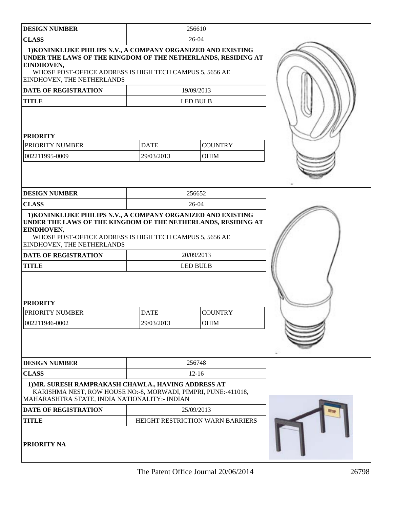| <b>DESIGN NUMBER</b>                                                                                                                                                                                                                   |                 | 256610                           |  |
|----------------------------------------------------------------------------------------------------------------------------------------------------------------------------------------------------------------------------------------|-----------------|----------------------------------|--|
| <b>CLASS</b>                                                                                                                                                                                                                           |                 |                                  |  |
| 1) KONINKLIJKE PHILIPS N.V., A COMPANY ORGANIZED AND EXISTING<br>UNDER THE LAWS OF THE KINGDOM OF THE NETHERLANDS, RESIDING AT<br>EINDHOVEN,<br>WHOSE POST-OFFICE ADDRESS IS HIGH TECH CAMPUS 5, 5656 AE<br>EINDHOVEN, THE NETHERLANDS |                 |                                  |  |
| <b>DATE OF REGISTRATION</b>                                                                                                                                                                                                            |                 | 19/09/2013                       |  |
| <b>TITLE</b>                                                                                                                                                                                                                           |                 | <b>LED BULB</b>                  |  |
| <b>PRIORITY</b><br><b>DATE</b><br><b>COUNTRY</b><br>PRIORITY NUMBER<br>29/03/2013<br><b>OHIM</b><br>002211995-0009                                                                                                                     |                 |                                  |  |
| <b>DESIGN NUMBER</b><br><b>CLASS</b>                                                                                                                                                                                                   |                 | 256652<br>26-04                  |  |
| 1) KONINKLIJKE PHILIPS N.V., A COMPANY ORGANIZED AND EXISTING<br>UNDER THE LAWS OF THE KINGDOM OF THE NETHERLANDS, RESIDING AT<br>EINDHOVEN,<br>WHOSE POST-OFFICE ADDRESS IS HIGH TECH CAMPUS 5, 5656 AE<br>EINDHOVEN, THE NETHERLANDS |                 |                                  |  |
| <b>DATE OF REGISTRATION</b>                                                                                                                                                                                                            |                 | 20/09/2013                       |  |
| <b>TITLE</b>                                                                                                                                                                                                                           | <b>LED BULB</b> |                                  |  |
| <b>PRIORITY</b><br><b>COUNTRY</b><br>PRIORITY NUMBER<br><b>DATE</b><br>002211946-0002<br>29/03/2013<br>OHIM                                                                                                                            |                 |                                  |  |
| <b>DESIGN NUMBER</b>                                                                                                                                                                                                                   |                 | 256748                           |  |
| <b>CLASS</b>                                                                                                                                                                                                                           |                 | $12 - 16$                        |  |
| 1) MR. SURESH RAMPRAKASH CHAWLA., HAVING ADDRESS AT<br>KARISHMA NEST, ROW HOUSE NO:-8, MORWADI, PIMPRI, PUNE:-411018,<br>MAHARASHTRA STATE, INDIA NATIONALITY:- INDIAN                                                                 |                 |                                  |  |
| <b>DATE OF REGISTRATION</b>                                                                                                                                                                                                            |                 | 25/09/2013                       |  |
| <b>TITLE</b>                                                                                                                                                                                                                           |                 | HEIGHT RESTRICTION WARN BARRIERS |  |
| <b>PRIORITY NA</b>                                                                                                                                                                                                                     |                 |                                  |  |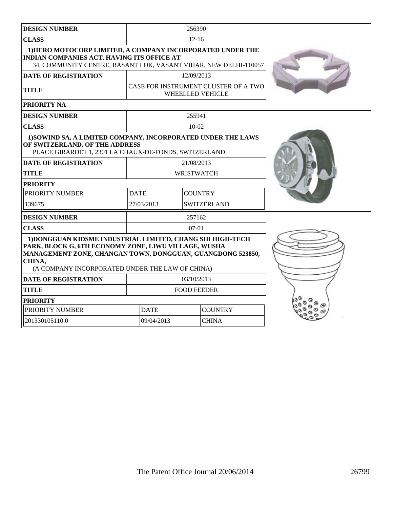| <b>DESIGN NUMBER</b>                                                                                                                                                                                                                          |                                  | 256390     |                                                                 |  |
|-----------------------------------------------------------------------------------------------------------------------------------------------------------------------------------------------------------------------------------------------|----------------------------------|------------|-----------------------------------------------------------------|--|
| <b>CLASS</b>                                                                                                                                                                                                                                  | $12 - 16$                        |            |                                                                 |  |
| 1) HERO MOTOCORP LIMITED, A COMPANY INCORPORATED UNDER THE<br>INDIAN COMPANIES ACT, HAVING ITS OFFICE AT<br>34, COMMUNITY CENTRE, BASANT LOK, VASANT VIHAR, NEW DELHI-110057                                                                  |                                  |            |                                                                 |  |
| <b>DATE OF REGISTRATION</b>                                                                                                                                                                                                                   |                                  | 12/09/2013 |                                                                 |  |
| <b>TITLE</b>                                                                                                                                                                                                                                  |                                  |            | CASE FOR INSTRUMENT CLUSTER OF A TWO<br><b>WHEELLED VEHICLE</b> |  |
| PRIORITY NA                                                                                                                                                                                                                                   |                                  |            |                                                                 |  |
| <b>DESIGN NUMBER</b>                                                                                                                                                                                                                          |                                  | 255941     |                                                                 |  |
| <b>CLASS</b>                                                                                                                                                                                                                                  |                                  | $10-02$    |                                                                 |  |
| 1) SOWIND SA, A LIMITED COMPANY, INCORPORATED UNDER THE LAWS<br>OF SWITZERLAND, OF THE ADDRESS<br>PLACE GIRARDET 1, 2301 LA CHAUX-DE-FONDS, SWITZERLAND                                                                                       |                                  |            |                                                                 |  |
| <b>DATE OF REGISTRATION</b>                                                                                                                                                                                                                   |                                  | 21/08/2013 |                                                                 |  |
| <b>TITLE</b>                                                                                                                                                                                                                                  | <b>WRISTWATCH</b>                |            |                                                                 |  |
| <b>PRIORITY</b>                                                                                                                                                                                                                               |                                  |            |                                                                 |  |
| PRIORITY NUMBER                                                                                                                                                                                                                               | <b>DATE</b><br><b>COUNTRY</b>    |            |                                                                 |  |
| 139675                                                                                                                                                                                                                                        | 27/03/2013<br><b>SWITZERLAND</b> |            |                                                                 |  |
| <b>DESIGN NUMBER</b>                                                                                                                                                                                                                          |                                  | 257162     |                                                                 |  |
| <b>CLASS</b>                                                                                                                                                                                                                                  |                                  | $07-01$    |                                                                 |  |
| 1) DONGGUAN KIDSME INDUSTRIAL LIMITED, CHANG SHI HIGH-TECH<br>PARK, BLOCK G, 6TH ECONOMY ZONE, LIWU VILLAGE, WUSHA<br>MANAGEMENT ZONE, CHANGAN TOWN, DONGGUAN, GUANGDONG 523850,<br>CHINA,<br>(A COMPANY INCORPORATED UNDER THE LAW OF CHINA) |                                  |            |                                                                 |  |
| <b>DATE OF REGISTRATION</b>                                                                                                                                                                                                                   | 03/10/2013                       |            |                                                                 |  |
| <b>TITLE</b>                                                                                                                                                                                                                                  | <b>FOOD FEEDER</b>               |            |                                                                 |  |
| <b>PRIORITY</b>                                                                                                                                                                                                                               |                                  |            |                                                                 |  |
| PRIORITY NUMBER                                                                                                                                                                                                                               | <b>DATE</b>                      |            | <b>COUNTRY</b>                                                  |  |
| 201330105110.0                                                                                                                                                                                                                                | 09/04/2013<br><b>CHINA</b>       |            |                                                                 |  |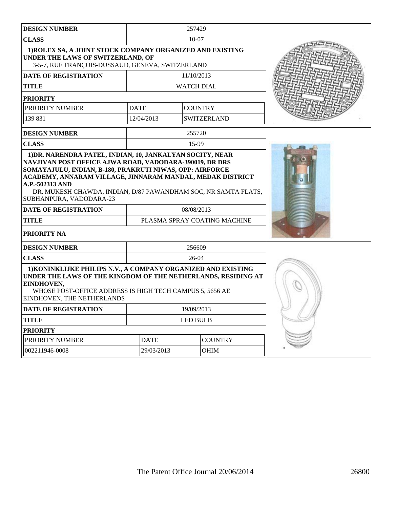| <b>DESIGN NUMBER</b>                                                                                                                                                                                                                   |                              | 257429            |                    |  |
|----------------------------------------------------------------------------------------------------------------------------------------------------------------------------------------------------------------------------------------|------------------------------|-------------------|--------------------|--|
| <b>CLASS</b>                                                                                                                                                                                                                           |                              | $10-07$           |                    |  |
| 1) ROLEX SA, A JOINT STOCK COMPANY ORGANIZED AND EXISTING<br>UNDER THE LAWS OF SWITZERLAND, OF<br>3-5-7, RUE FRANÇOIS-DUSSAUD, GENEVA, SWITZERLAND                                                                                     |                              |                   |                    |  |
| <b>DATE OF REGISTRATION</b>                                                                                                                                                                                                            |                              | 11/10/2013        |                    |  |
| <b>TITLE</b>                                                                                                                                                                                                                           |                              | <b>WATCH DIAL</b> |                    |  |
| <b>PRIORITY</b>                                                                                                                                                                                                                        |                              |                   |                    |  |
| PRIORITY NUMBER                                                                                                                                                                                                                        | <b>DATE</b>                  |                   | <b>COUNTRY</b>     |  |
| 139 831                                                                                                                                                                                                                                | 12/04/2013                   |                   | <b>SWITZERLAND</b> |  |
| <b>DESIGN NUMBER</b>                                                                                                                                                                                                                   |                              | 255720            |                    |  |
| <b>CLASS</b>                                                                                                                                                                                                                           |                              | 15-99             |                    |  |
| ACADEMY, ANNARAM VILLAGE, JINNARAM MANDAL, MEDAK DISTRICT<br>A.P.-502313 AND<br>DR. MUKESH CHAWDA, INDIAN, D/87 PAWANDHAM SOC, NR SAMTA FLATS,<br>SUBHANPURA, VADODARA-23                                                              |                              |                   |                    |  |
| <b>DATE OF REGISTRATION</b>                                                                                                                                                                                                            | 08/08/2013                   |                   |                    |  |
| <b>TITLE</b>                                                                                                                                                                                                                           | PLASMA SPRAY COATING MACHINE |                   |                    |  |
| PRIORITY NA                                                                                                                                                                                                                            |                              |                   |                    |  |
| <b>DESIGN NUMBER</b>                                                                                                                                                                                                                   |                              | 256609            |                    |  |
| <b>CLASS</b>                                                                                                                                                                                                                           |                              | $26 - 04$         |                    |  |
| 1) KONINKLIJKE PHILIPS N.V., A COMPANY ORGANIZED AND EXISTING<br>UNDER THE LAWS OF THE KINGDOM OF THE NETHERLANDS, RESIDING AT<br>EINDHOVEN,<br>WHOSE POST-OFFICE ADDRESS IS HIGH TECH CAMPUS 5, 5656 AE<br>EINDHOVEN, THE NETHERLANDS |                              |                   |                    |  |
| DATE OF REGISTRATION                                                                                                                                                                                                                   | 19/09/2013                   |                   |                    |  |
| <b>TITLE</b>                                                                                                                                                                                                                           | LED BULB                     |                   |                    |  |
| <b>PRIORITY</b>                                                                                                                                                                                                                        |                              |                   |                    |  |
| PRIORITY NUMBER<br><b>DATE</b><br><b>COUNTRY</b>                                                                                                                                                                                       |                              |                   |                    |  |
| 002211946-0008                                                                                                                                                                                                                         | 29/03/2013                   |                   |                    |  |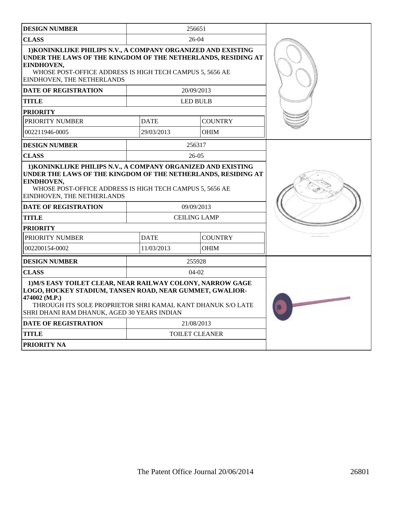| <b>DESIGN NUMBER</b>                                                                                                                                                                                                                                                  |                                    | 256651<br>26-04                   |  |
|-----------------------------------------------------------------------------------------------------------------------------------------------------------------------------------------------------------------------------------------------------------------------|------------------------------------|-----------------------------------|--|
| <b>CLASS</b>                                                                                                                                                                                                                                                          |                                    |                                   |  |
| 1) KONINKLIJKE PHILIPS N.V., A COMPANY ORGANIZED AND EXISTING<br>UNDER THE LAWS OF THE KINGDOM OF THE NETHERLANDS, RESIDING AT<br>EINDHOVEN,<br>WHOSE POST-OFFICE ADDRESS IS HIGH TECH CAMPUS 5, 5656 AE<br>EINDHOVEN, THE NETHERLANDS                                |                                    |                                   |  |
| <b>DATE OF REGISTRATION</b>                                                                                                                                                                                                                                           |                                    | 20/09/2013                        |  |
| <b>TITLE</b>                                                                                                                                                                                                                                                          |                                    | <b>LED BULB</b>                   |  |
| <b>PRIORITY</b>                                                                                                                                                                                                                                                       |                                    |                                   |  |
| PRIORITY NUMBER                                                                                                                                                                                                                                                       | <b>DATE</b>                        | <b>COUNTRY</b>                    |  |
| 002211946-0005                                                                                                                                                                                                                                                        | 29/03/2013                         | <b>OHIM</b>                       |  |
| <b>DESIGN NUMBER</b>                                                                                                                                                                                                                                                  |                                    | 256317                            |  |
| <b>CLASS</b>                                                                                                                                                                                                                                                          |                                    | $26-05$                           |  |
| 1) KONINKLIJKE PHILIPS N.V., A COMPANY ORGANIZED AND EXISTING<br>UNDER THE LAWS OF THE KINGDOM OF THE NETHERLANDS, RESIDING AT<br>EINDHOVEN,<br>WHOSE POST-OFFICE ADDRESS IS HIGH TECH CAMPUS 5, 5656 AE<br>EINDHOVEN, THE NETHERLANDS<br><b>DATE OF REGISTRATION</b> |                                    |                                   |  |
| <b>TITLE</b>                                                                                                                                                                                                                                                          |                                    | 09/09/2013<br><b>CEILING LAMP</b> |  |
| <b>PRIORITY</b>                                                                                                                                                                                                                                                       |                                    |                                   |  |
| PRIORITY NUMBER                                                                                                                                                                                                                                                       | <b>DATE</b>                        | <b>COUNTRY</b>                    |  |
| 002200154-0002                                                                                                                                                                                                                                                        | 11/03/2013                         | <b>OHIM</b>                       |  |
| <b>DESIGN NUMBER</b>                                                                                                                                                                                                                                                  |                                    | 255928                            |  |
| <b>CLASS</b>                                                                                                                                                                                                                                                          |                                    | $04-02$                           |  |
| 1) M/S EASY TOILET CLEAR, NEAR RAILWAY COLONY, NARROW GAGE<br>LOGO, HOCKEY STADIUM, TANSEN ROAD, NEAR GUMMET, GWALIOR-<br>474002 (M.P.)<br>THROUGH ITS SOLE PROPRIETOR SHRI KAMAL KANT DHANUK S/O LATE<br>SHRI DHANI RAM DHANUK, AGED 30 YEARS INDIAN                 | No. of Concession, Name of Street, |                                   |  |
| <b>DATE OF REGISTRATION</b>                                                                                                                                                                                                                                           |                                    | 21/08/2013                        |  |
| <b>TITLE</b>                                                                                                                                                                                                                                                          |                                    | <b>TOILET CLEANER</b>             |  |
| PRIORITY NA                                                                                                                                                                                                                                                           |                                    |                                   |  |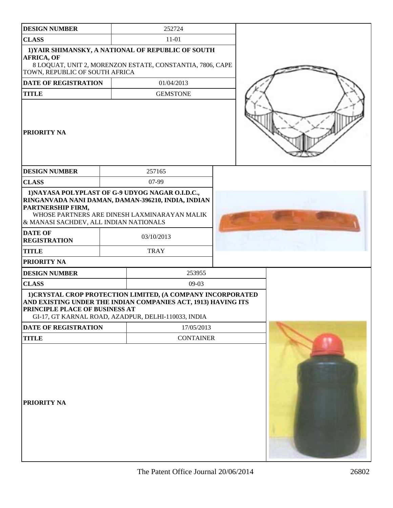| <b>DESIGN NUMBER</b>                                        |  | 252724                                                                                                                                                                              |  |  |
|-------------------------------------------------------------|--|-------------------------------------------------------------------------------------------------------------------------------------------------------------------------------------|--|--|
| <b>CLASS</b>                                                |  | $11 - 01$                                                                                                                                                                           |  |  |
| <b>AFRICA, OF</b><br>TOWN, REPUBLIC OF SOUTH AFRICA         |  | 1) YAIR SHIMANSKY, A NATIONAL OF REPUBLIC OF SOUTH<br>8 LOQUAT, UNIT 2, MORENZON ESTATE, CONSTANTIA, 7806, CAPE                                                                     |  |  |
| <b>DATE OF REGISTRATION</b>                                 |  | 01/04/2013                                                                                                                                                                          |  |  |
| <b>TITLE</b>                                                |  | <b>GEMSTONE</b>                                                                                                                                                                     |  |  |
| PRIORITY NA                                                 |  |                                                                                                                                                                                     |  |  |
| <b>DESIGN NUMBER</b>                                        |  | 257165                                                                                                                                                                              |  |  |
| <b>CLASS</b>                                                |  | 07-99                                                                                                                                                                               |  |  |
| PARTNERSHIP FIRM,<br>& MANASI SACHDEV, ALL INDIAN NATIONALS |  | 1) NAYASA POLYPLAST OF G-9 UDYOG NAGAR O.I.D.C.,<br>RINGANVADA NANI DAMAN, DAMAN-396210, INDIA, INDIAN<br>WHOSE PARTNERS ARE DINESH LAXMINARAYAN MALIK                              |  |  |
| <b>DATE OF</b><br><b>REGISTRATION</b>                       |  | 03/10/2013                                                                                                                                                                          |  |  |
| <b>TITLE</b>                                                |  | <b>TRAY</b>                                                                                                                                                                         |  |  |
| PRIORITY NA                                                 |  |                                                                                                                                                                                     |  |  |
| <b>DESIGN NUMBER</b>                                        |  | 253955                                                                                                                                                                              |  |  |
| <b>CLASS</b>                                                |  | $09-03$                                                                                                                                                                             |  |  |
| <b>PRINCIPLE PLACE OF BUSINESS AT</b>                       |  | 1) CRYSTAL CROP PROTECTION LIMITED, (A COMPANY INCORPORATED<br>AND EXISTING UNDER THE INDIAN COMPANIES ACT, 1913) HAVING ITS<br>GI-17, GT KARNAL ROAD, AZADPUR, DELHI-110033, INDIA |  |  |
| DATE OF REGISTRATION                                        |  | 17/05/2013                                                                                                                                                                          |  |  |
| <b>TITLE</b>                                                |  | <b>CONTAINER</b>                                                                                                                                                                    |  |  |
| PRIORITY NA                                                 |  |                                                                                                                                                                                     |  |  |

H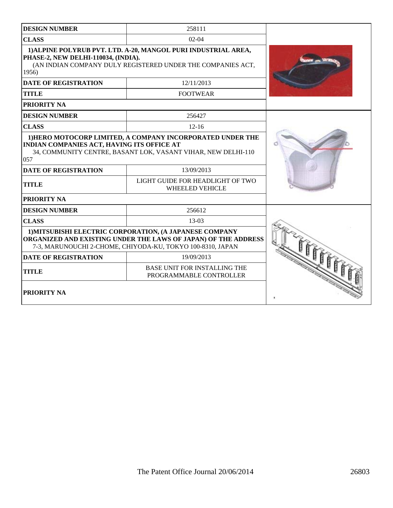| <b>DESIGN NUMBER</b>                                                                                                                                                                    | 258111                                                                                                                      |  |
|-----------------------------------------------------------------------------------------------------------------------------------------------------------------------------------------|-----------------------------------------------------------------------------------------------------------------------------|--|
| <b>CLASS</b>                                                                                                                                                                            | $02-04$                                                                                                                     |  |
| 1) ALPINE POLYRUB PVT. LTD. A-20, MANGOL PURI INDUSTRIAL AREA,<br>PHASE-2, NEW DELHI-110034, (INDIA).<br>(AN INDIAN COMPANY DULY REGISTERED UNDER THE COMPANIES ACT,<br>1956)           |                                                                                                                             |  |
| <b>DATE OF REGISTRATION</b>                                                                                                                                                             | 12/11/2013                                                                                                                  |  |
| <b>TITLE</b>                                                                                                                                                                            | <b>FOOTWEAR</b>                                                                                                             |  |
| PRIORITY NA                                                                                                                                                                             |                                                                                                                             |  |
| <b>DESIGN NUMBER</b>                                                                                                                                                                    | 256427                                                                                                                      |  |
| <b>CLASS</b>                                                                                                                                                                            | $12 - 16$                                                                                                                   |  |
| INDIAN COMPANIES ACT, HAVING ITS OFFICE AT<br>057                                                                                                                                       | 1) HERO MOTOCORP LIMITED, A COMPANY INCORPORATED UNDER THE<br>34, COMMUNITY CENTRE, BASANT LOK, VASANT VIHAR, NEW DELHI-110 |  |
| <b>DATE OF REGISTRATION</b>                                                                                                                                                             | 13/09/2013                                                                                                                  |  |
| <b>TITLE</b>                                                                                                                                                                            | LIGHT GUIDE FOR HEADLIGHT OF TWO<br><b>WHEELED VEHICLE</b>                                                                  |  |
| PRIORITY NA                                                                                                                                                                             |                                                                                                                             |  |
| <b>DESIGN NUMBER</b>                                                                                                                                                                    | 256612                                                                                                                      |  |
| <b>CLASS</b>                                                                                                                                                                            | 13-03                                                                                                                       |  |
| 1) MITSUBISHI ELECTRIC CORPORATION, (A JAPANESE COMPANY<br>ORGANIZED AND EXISTING UNDER THE LAWS OF JAPAN) OF THE ADDRESS<br>7-3, MARUNOUCHI 2-CHOME, CHIYODA-KU, TOKYO 100-8310, JAPAN |                                                                                                                             |  |
| <b>DATE OF REGISTRATION</b>                                                                                                                                                             | 19/09/2013                                                                                                                  |  |
| <b>TITLE</b>                                                                                                                                                                            | <b>BASE UNIT FOR INSTALLING THE</b><br>PROGRAMMABLE CONTROLLER                                                              |  |
| PRIORITY NA                                                                                                                                                                             |                                                                                                                             |  |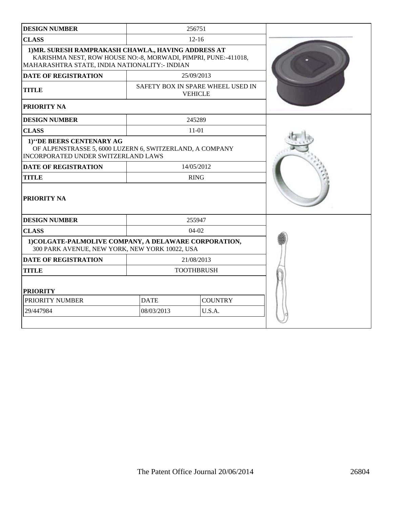| <b>DESIGN NUMBER</b>                                                                                                                                                    |                                                     | 256751         |  |
|-------------------------------------------------------------------------------------------------------------------------------------------------------------------------|-----------------------------------------------------|----------------|--|
| <b>CLASS</b>                                                                                                                                                            |                                                     | $12 - 16$      |  |
| 1) MR. SURESH RAMPRAKASH CHAWLA., HAVING ADDRESS AT<br>KARISHMA NEST, ROW HOUSE NO:-8, MORWADI, PIMPRI, PUNE:-411018,<br>MAHARASHTRA STATE, INDIA NATIONALITY: - INDIAN |                                                     |                |  |
| <b>DATE OF REGISTRATION</b>                                                                                                                                             |                                                     | 25/09/2013     |  |
| <b>TITLE</b>                                                                                                                                                            | SAFETY BOX IN SPARE WHEEL USED IN<br><b>VEHICLE</b> |                |  |
| PRIORITY NA                                                                                                                                                             |                                                     |                |  |
| <b>DESIGN NUMBER</b>                                                                                                                                                    |                                                     | 245289         |  |
| <b>CLASS</b>                                                                                                                                                            |                                                     | 11-01          |  |
| 1) "DE BEERS CENTENARY AG<br>OF ALPENSTRASSE 5, 6000 LUZERN 6, SWITZERLAND, A COMPANY<br>INCORPORATED UNDER SWITZERLAND LAWS                                            |                                                     |                |  |
| <b>DATE OF REGISTRATION</b>                                                                                                                                             | 14/05/2012                                          |                |  |
| <b>TITLE</b>                                                                                                                                                            |                                                     | <b>RING</b>    |  |
| <b>PRIORITY NA</b>                                                                                                                                                      |                                                     |                |  |
| <b>DESIGN NUMBER</b>                                                                                                                                                    |                                                     | 255947         |  |
| <b>CLASS</b>                                                                                                                                                            | $04-02$                                             |                |  |
| 1) COLGATE-PALMOLIVE COMPANY, A DELAWARE CORPORATION,<br>300 PARK AVENUE, NEW YORK, NEW YORK 10022, USA                                                                 |                                                     |                |  |
| <b>DATE OF REGISTRATION</b>                                                                                                                                             | 21/08/2013                                          |                |  |
| <b>TITLE</b>                                                                                                                                                            | <b>TOOTHBRUSH</b>                                   |                |  |
| <b>PRIORITY</b>                                                                                                                                                         |                                                     |                |  |
| PRIORITY NUMBER                                                                                                                                                         | <b>DATE</b>                                         | <b>COUNTRY</b> |  |
| 29/447984                                                                                                                                                               | 08/03/2013<br>U.S.A.                                |                |  |
|                                                                                                                                                                         |                                                     |                |  |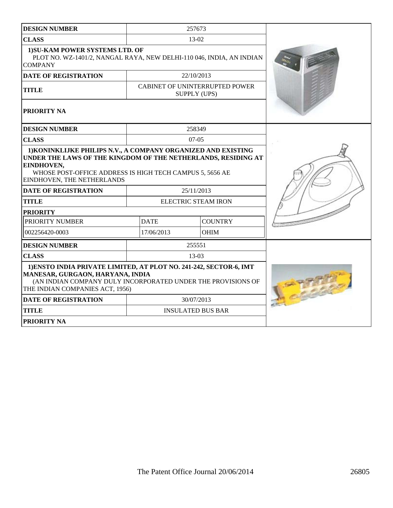| <b>DESIGN NUMBER</b>                                                                                                                                                                                      |             | 257673                                                       |  |
|-----------------------------------------------------------------------------------------------------------------------------------------------------------------------------------------------------------|-------------|--------------------------------------------------------------|--|
| <b>CLASS</b>                                                                                                                                                                                              |             | $13-02$                                                      |  |
| 1) SU-KAM POWER SYSTEMS LTD. OF<br>PLOT NO. WZ-1401/2, NANGAL RAYA, NEW DELHI-110 046, INDIA, AN INDIAN<br><b>COMPANY</b>                                                                                 |             |                                                              |  |
| <b>DATE OF REGISTRATION</b>                                                                                                                                                                               |             | 22/10/2013                                                   |  |
| <b>TITLE</b>                                                                                                                                                                                              |             | <b>CABINET OF UNINTERRUPTED POWER</b><br><b>SUPPLY (UPS)</b> |  |
| PRIORITY NA                                                                                                                                                                                               |             |                                                              |  |
| <b>DESIGN NUMBER</b>                                                                                                                                                                                      |             | 258349                                                       |  |
| <b>CLASS</b>                                                                                                                                                                                              |             | $07-05$                                                      |  |
| UNDER THE LAWS OF THE KINGDOM OF THE NETHERLANDS, RESIDING AT<br>EINDHOVEN,<br>WHOSE POST-OFFICE ADDRESS IS HIGH TECH CAMPUS 5, 5656 AE<br>EINDHOVEN, THE NETHERLANDS                                     |             |                                                              |  |
| <b>DATE OF REGISTRATION</b>                                                                                                                                                                               |             | 25/11/2013                                                   |  |
| <b>TITLE</b>                                                                                                                                                                                              |             | <b>ELECTRIC STEAM IRON</b>                                   |  |
| <b>PRIORITY</b>                                                                                                                                                                                           |             |                                                              |  |
| PRIORITY NUMBER                                                                                                                                                                                           | <b>DATE</b> | <b>COUNTRY</b>                                               |  |
| 002256420-0003                                                                                                                                                                                            | 17/06/2013  | <b>OHIM</b>                                                  |  |
| <b>DESIGN NUMBER</b>                                                                                                                                                                                      |             | 255551                                                       |  |
| <b>CLASS</b>                                                                                                                                                                                              |             | 13-03                                                        |  |
| 1) ENSTO INDIA PRIVATE LIMITED, AT PLOT NO. 241-242, SECTOR-6, IMT<br>MANESAR, GURGAON, HARYANA, INDIA<br>(AN INDIAN COMPANY DULY INCORPORATED UNDER THE PROVISIONS OF<br>THE INDIAN COMPANIES ACT, 1956) |             |                                                              |  |
| <b>DATE OF REGISTRATION</b>                                                                                                                                                                               |             | 30/07/2013                                                   |  |
| <b>TITLE</b>                                                                                                                                                                                              |             | <b>INSULATED BUS BAR</b>                                     |  |
| <b>PRIORITY NA</b>                                                                                                                                                                                        |             |                                                              |  |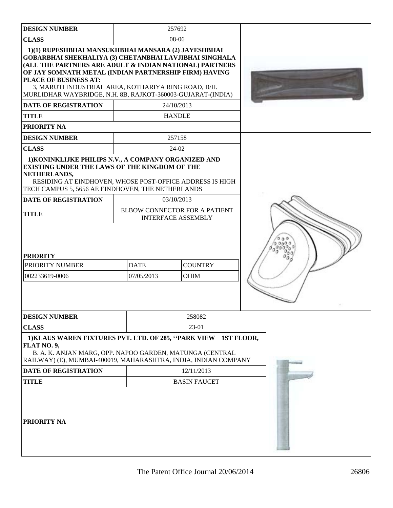| <b>DESIGN NUMBER</b>                                                                                                      | 257692                                                                                                                                                                                                                                                                                                                                                   |            |
|---------------------------------------------------------------------------------------------------------------------------|----------------------------------------------------------------------------------------------------------------------------------------------------------------------------------------------------------------------------------------------------------------------------------------------------------------------------------------------------------|------------|
| <b>CLASS</b>                                                                                                              | 08-06                                                                                                                                                                                                                                                                                                                                                    |            |
| PLACE OF BUSINESS AT:                                                                                                     | 1)(1) RUPESHBHAI MANSUKHBHAI MANSARA (2) JAYESHBHAI<br>GOBARBHAI SHEKHALIYA (3) CHETANBHAI LAVJIBHAI SINGHALA<br>(ALL THE PARTNERS ARE ADULT & INDIAN NATIONAL) PARTNERS<br>OF JAY SOMNATH METAL (INDIAN PARTNERSHIP FIRM) HAVING<br>3, MARUTI INDUSTRIAL AREA, KOTHARIYA RING ROAD, B/H.<br>MURLIDHAR WAYBRIDGE, N.H. 8B, RAJKOT-360003-GUJARAT-(INDIA) |            |
| <b>DATE OF REGISTRATION</b>                                                                                               | 24/10/2013                                                                                                                                                                                                                                                                                                                                               |            |
| <b>TITLE</b>                                                                                                              | <b>HANDLE</b>                                                                                                                                                                                                                                                                                                                                            |            |
| PRIORITY NA                                                                                                               |                                                                                                                                                                                                                                                                                                                                                          |            |
| <b>DESIGN NUMBER</b>                                                                                                      | 257158                                                                                                                                                                                                                                                                                                                                                   |            |
| <b>CLASS</b>                                                                                                              | 24-02                                                                                                                                                                                                                                                                                                                                                    |            |
| <b>EXISTING UNDER THE LAWS OF THE KINGDOM OF THE</b><br>NETHERLANDS,<br>TECH CAMPUS 5, 5656 AE EINDHOVEN, THE NETHERLANDS | 1) KONINKLIJKE PHILIPS N.V., A COMPANY ORGANIZED AND<br>RESIDING AT EINDHOVEN, WHOSE POST-OFFICE ADDRESS IS HIGH                                                                                                                                                                                                                                         |            |
| DATE OF REGISTRATION                                                                                                      | 03/10/2013                                                                                                                                                                                                                                                                                                                                               |            |
| <b>TITLE</b>                                                                                                              | ELBOW CONNECTOR FOR A PATIENT<br><b>INTERFACE ASSEMBLY</b>                                                                                                                                                                                                                                                                                               |            |
| <b>PRIORITY</b><br>PRIORITY NUMBER<br>002233619-0006                                                                      | <b>DATE</b><br><b>COUNTRY</b><br>07/05/2013<br><b>OHIM</b>                                                                                                                                                                                                                                                                                               |            |
| <b>DESIGN NUMBER</b>                                                                                                      | 258082                                                                                                                                                                                                                                                                                                                                                   |            |
| <b>CLASS</b>                                                                                                              | 23-01                                                                                                                                                                                                                                                                                                                                                    |            |
| FLAT NO. 9,                                                                                                               | 1) KLAUS WAREN FIXTURES PVT. LTD. OF 285, "PARK VIEW<br>B. A. K. ANJAN MARG, OPP. NAPOO GARDEN, MATUNGA (CENTRAL<br>RAILWAY) (E), MUMBAI-400019, MAHARASHTRA, INDIA, INDIAN COMPANY                                                                                                                                                                      | 1ST FLOOR, |
| <b>DATE OF REGISTRATION</b>                                                                                               | 12/11/2013                                                                                                                                                                                                                                                                                                                                               |            |
| <b>TITLE</b><br>PRIORITY NA                                                                                               | <b>BASIN FAUCET</b>                                                                                                                                                                                                                                                                                                                                      |            |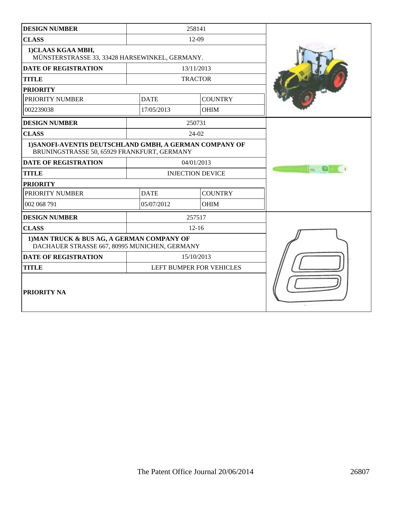| <b>DESIGN NUMBER</b>                                                                                   |             | 258141                   |             |
|--------------------------------------------------------------------------------------------------------|-------------|--------------------------|-------------|
| <b>CLASS</b>                                                                                           |             | $12-09$                  |             |
| 1)CLAAS KGAA MBH,<br>MÜNSTERSTRASSE 33, 33428 HARSEWINKEL, GERMANY.                                    |             |                          |             |
| <b>DATE OF REGISTRATION</b>                                                                            |             | 13/11/2013               |             |
| <b>TITLE</b>                                                                                           |             | <b>TRACTOR</b>           |             |
| <b>PRIORITY</b>                                                                                        |             |                          |             |
| PRIORITY NUMBER                                                                                        | <b>DATE</b> | <b>COUNTRY</b>           |             |
| 002239038                                                                                              | 17/05/2013  | <b>OHIM</b>              |             |
| <b>DESIGN NUMBER</b>                                                                                   |             | 250731                   |             |
| <b>CLASS</b>                                                                                           |             | 24-02                    |             |
| 1) SANOFI-AVENTIS DEUTSCHLAND GMBH, A GERMAN COMPANY OF<br>BRUNINGSTRASSE 50, 65929 FRANKFURT, GERMANY |             |                          |             |
| <b>DATE OF REGISTRATION</b>                                                                            |             | 04/01/2013               |             |
| <b>TITLE</b>                                                                                           |             | <b>INJECTION DEVICE</b>  | $\equiv 10$ |
| <b>PRIORITY</b>                                                                                        |             |                          |             |
| PRIORITY NUMBER                                                                                        | <b>DATE</b> | <b>COUNTRY</b>           |             |
| 002 068 791                                                                                            | 05/07/2012  | <b>OHIM</b>              |             |
| <b>DESIGN NUMBER</b>                                                                                   |             | 257517                   |             |
| <b>CLASS</b>                                                                                           |             | $12 - 16$                |             |
| 1) MAN TRUCK & BUS AG, A GERMAN COMPANY OF<br>DACHAUER STRASSE 667, 80995 MUNICHEN, GERMANY            |             |                          |             |
| <b>DATE OF REGISTRATION</b>                                                                            |             | 15/10/2013               |             |
| <b>TITLE</b>                                                                                           |             | LEFT BUMPER FOR VEHICLES |             |
| <b>PRIORITY NA</b>                                                                                     |             |                          |             |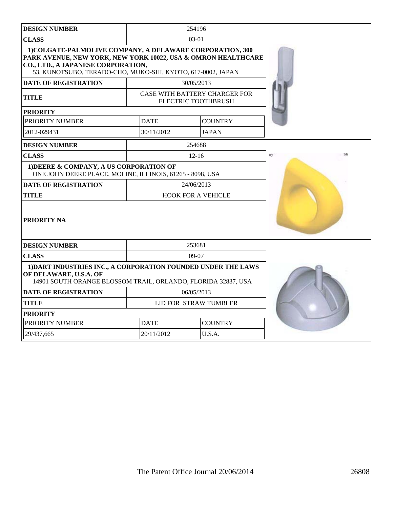| <b>DESIGN NUMBER</b>                                                                                                                                                                                                            |             | 254196                                                             |    |
|---------------------------------------------------------------------------------------------------------------------------------------------------------------------------------------------------------------------------------|-------------|--------------------------------------------------------------------|----|
| <b>CLASS</b>                                                                                                                                                                                                                    |             | $03-01$                                                            |    |
| 1) COLGATE-PALMOLIVE COMPANY, A DELAWARE CORPORATION, 300<br>PARK AVENUE, NEW YORK, NEW YORK 10022, USA & OMRON HEALTHCARE<br>CO., LTD., A JAPANESE CORPORATION,<br>53, KUNOTSUBO, TERADO-CHO, MUKO-SHI, KYOTO, 617-0002, JAPAN |             |                                                                    |    |
| <b>DATE OF REGISTRATION</b>                                                                                                                                                                                                     |             | 30/05/2013                                                         |    |
| <b>TITLE</b>                                                                                                                                                                                                                    |             | <b>CASE WITH BATTERY CHARGER FOR</b><br><b>ELECTRIC TOOTHBRUSH</b> |    |
| <b>PRIORITY</b>                                                                                                                                                                                                                 |             |                                                                    |    |
| PRIORITY NUMBER                                                                                                                                                                                                                 | <b>DATE</b> | <b>COUNTRY</b>                                                     |    |
| 2012-029431                                                                                                                                                                                                                     | 30/11/2012  | <b>JAPAN</b>                                                       |    |
| <b>DESIGN NUMBER</b>                                                                                                                                                                                                            |             | 254688                                                             |    |
| <b>CLASS</b>                                                                                                                                                                                                                    |             | $12-16$                                                            | ny |
| 1) DEERE & COMPANY, A US CORPORATION OF<br>ONE JOHN DEERE PLACE, MOLINE, ILLINOIS, 61265 - 8098, USA                                                                                                                            |             |                                                                    |    |
| <b>DATE OF REGISTRATION</b>                                                                                                                                                                                                     |             | 24/06/2013                                                         |    |
| <b>TITLE</b>                                                                                                                                                                                                                    |             | <b>HOOK FOR A VEHICLE</b>                                          |    |
| PRIORITY NA                                                                                                                                                                                                                     |             |                                                                    |    |
| <b>DESIGN NUMBER</b>                                                                                                                                                                                                            |             | 253681                                                             |    |
| <b>CLASS</b>                                                                                                                                                                                                                    |             | $09-07$                                                            |    |
| 1) DART INDUSTRIES INC., A CORPORATION FOUNDED UNDER THE LAWS<br>OF DELAWARE, U.S.A. OF<br>14901 SOUTH ORANGE BLOSSOM TRAIL, ORLANDO, FLORIDA 32837, USA                                                                        |             |                                                                    |    |
| DATE OF REGISTRATION                                                                                                                                                                                                            |             | 06/05/2013                                                         |    |
| <b>TITLE</b>                                                                                                                                                                                                                    |             | LID FOR STRAW TUMBLER                                              |    |
| <b>PRIORITY</b>                                                                                                                                                                                                                 |             |                                                                    |    |
| PRIORITY NUMBER                                                                                                                                                                                                                 | <b>DATE</b> | <b>COUNTRY</b>                                                     |    |
| 29/437.665                                                                                                                                                                                                                      | 20/11/2012  | U.S.A.                                                             |    |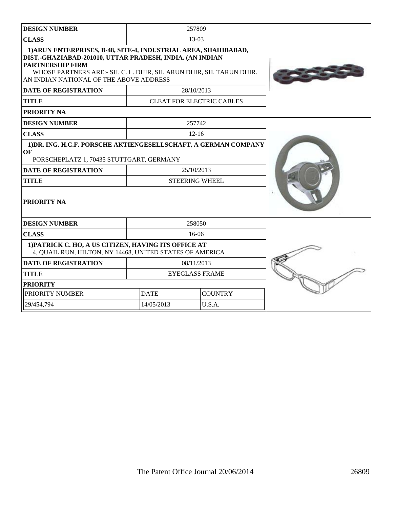| <b>DESIGN NUMBER</b>                                                                                                                                                                                                                                                     |                               | 257809                              |  |
|--------------------------------------------------------------------------------------------------------------------------------------------------------------------------------------------------------------------------------------------------------------------------|-------------------------------|-------------------------------------|--|
| <b>CLASS</b>                                                                                                                                                                                                                                                             | $13-03$                       |                                     |  |
| 1) ARUN ENTERPRISES, B-48, SITE-4, INDUSTRIAL AREA, SHAHIBABAD,<br>DIST.-GHAZIABAD-201010, UTTAR PRADESH, INDIA. (AN INDIAN<br><b>PARTNERSHIP FIRM</b><br>WHOSE PARTNERS ARE:- SH. C. L. DHIR, SH. ARUN DHIR, SH. TARUN DHIR.<br>AN INDIAN NATIONAL OF THE ABOVE ADDRESS |                               |                                     |  |
| <b>DATE OF REGISTRATION</b>                                                                                                                                                                                                                                              |                               | 28/10/2013                          |  |
| <b>TITLE</b>                                                                                                                                                                                                                                                             |                               | <b>CLEAT FOR ELECTRIC CABLES</b>    |  |
| PRIORITY NA                                                                                                                                                                                                                                                              |                               |                                     |  |
| <b>DESIGN NUMBER</b>                                                                                                                                                                                                                                                     |                               | 257742                              |  |
| <b>CLASS</b>                                                                                                                                                                                                                                                             |                               | $12 - 16$                           |  |
| 1) DR. ING. H.C.F. PORSCHE AKTIENGESELLSCHAFT, A GERMAN COMPANY<br>OF<br>PORSCHEPLATZ 1, 70435 STUTTGART, GERMANY<br><b>DATE OF REGISTRATION</b><br><b>TITLE</b><br><b>PRIORITY NA</b>                                                                                   |                               | 25/10/2013<br><b>STEERING WHEEL</b> |  |
| <b>DESIGN NUMBER</b>                                                                                                                                                                                                                                                     |                               | 258050                              |  |
| <b>CLASS</b>                                                                                                                                                                                                                                                             |                               | $16-06$                             |  |
| 1) PATRICK C. HO, A US CITIZEN, HAVING ITS OFFICE AT<br>4, QUAIL RUN, HILTON, NY 14468, UNITED STATES OF AMERICA                                                                                                                                                         |                               |                                     |  |
| <b>DATE OF REGISTRATION</b>                                                                                                                                                                                                                                              |                               | 08/11/2013                          |  |
| <b>TITLE</b>                                                                                                                                                                                                                                                             | <b>EYEGLASS FRAME</b>         |                                     |  |
| <b>PRIORITY</b>                                                                                                                                                                                                                                                          |                               |                                     |  |
| PRIORITY NUMBER                                                                                                                                                                                                                                                          | <b>DATE</b><br><b>COUNTRY</b> |                                     |  |
| 29/454,794                                                                                                                                                                                                                                                               | 14/05/2013                    | U.S.A.                              |  |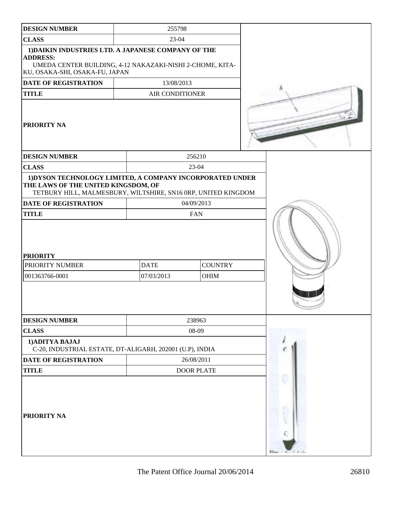| <b>DESIGN NUMBER</b>                                                                                                                                                  | 255798                    |                               |  |
|-----------------------------------------------------------------------------------------------------------------------------------------------------------------------|---------------------------|-------------------------------|--|
| <b>CLASS</b>                                                                                                                                                          | 23-04                     |                               |  |
| 1) DAIKIN INDUSTRIES LTD. A JAPANESE COMPANY OF THE<br><b>ADDRESS:</b><br>UMEDA CENTER BUILDING, 4-12 NAKAZAKI-NISHI 2-CHOME, KITA-<br>KU, OSAKA-SHI, OSAKA-FU, JAPAN |                           |                               |  |
| DATE OF REGISTRATION                                                                                                                                                  | 13/08/2013                |                               |  |
| <b>TITLE</b>                                                                                                                                                          | <b>AIR CONDITIONER</b>    |                               |  |
| <b>PRIORITY NA</b>                                                                                                                                                    |                           |                               |  |
| <b>DESIGN NUMBER</b>                                                                                                                                                  |                           | 256210                        |  |
| <b>CLASS</b>                                                                                                                                                          |                           | 23-04                         |  |
| 1) DYSON TECHNOLOGY LIMITED, A COMPANY INCORPORATED UNDER<br>THE LAWS OF THE UNITED KINGSDOM, OF<br>TETBURY HILL, MALMESBURY, WILTSHIRE, SN16 0RP, UNITED KINGDOM     |                           |                               |  |
| <b>DATE OF REGISTRATION</b>                                                                                                                                           |                           | 04/09/2013                    |  |
| <b>TITLE</b>                                                                                                                                                          |                           | <b>FAN</b>                    |  |
| <b>PRIORITY</b><br>PRIORITY NUMBER<br>001363766-0001                                                                                                                  | <b>DATE</b><br>07/03/2013 | <b>COUNTRY</b><br><b>OHIM</b> |  |
| <b>DESIGN NUMBER</b>                                                                                                                                                  |                           | 238963                        |  |
| <b>CLASS</b>                                                                                                                                                          |                           | 08-09                         |  |
| 1) ADITYA BAJAJ<br>C-20, INDUSTRIAL ESTATE, DT-ALIGARH, 202001 (U.P), INDIA                                                                                           |                           |                               |  |
| DATE OF REGISTRATION                                                                                                                                                  |                           | 26/08/2011                    |  |
| <b>TITLE</b>                                                                                                                                                          |                           | <b>DOOR PLATE</b>             |  |
| <b>PRIORITY NA</b>                                                                                                                                                    |                           |                               |  |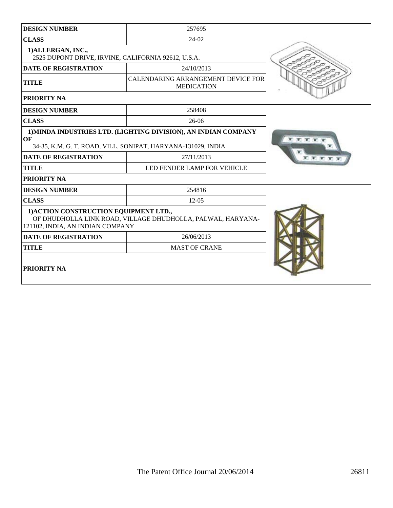| <b>DESIGN NUMBER</b>                                                       | 257695                                                                                                                          |  |
|----------------------------------------------------------------------------|---------------------------------------------------------------------------------------------------------------------------------|--|
| <b>CLASS</b>                                                               | $24-02$                                                                                                                         |  |
| 1) ALLERGAN, INC.,<br>2525 DUPONT DRIVE, IRVINE, CALIFORNIA 92612, U.S.A.  |                                                                                                                                 |  |
| <b>DATE OF REGISTRATION</b>                                                | 24/10/2013                                                                                                                      |  |
| CALENDARING ARRANGEMENT DEVICE FOR<br><b>TITLE</b><br><b>MEDICATION</b>    |                                                                                                                                 |  |
| <b>PRIORITY NA</b>                                                         |                                                                                                                                 |  |
| <b>DESIGN NUMBER</b>                                                       | 258408                                                                                                                          |  |
| <b>CLASS</b>                                                               | $26-06$                                                                                                                         |  |
| OF                                                                         | 1) MINDA INDUSTRIES LTD. (LIGHTING DIVISION), AN INDIAN COMPANY<br>34-35, K.M. G. T. ROAD, VILL. SONIPAT, HARYANA-131029, INDIA |  |
| <b>DATE OF REGISTRATION</b>                                                | 27/11/2013                                                                                                                      |  |
| <b>TITLE</b>                                                               | LED FENDER LAMP FOR VEHICLE                                                                                                     |  |
| PRIORITY NA                                                                |                                                                                                                                 |  |
| <b>DESIGN NUMBER</b>                                                       | 254816                                                                                                                          |  |
| <b>CLASS</b>                                                               | $12 - 05$                                                                                                                       |  |
| 1) ACTION CONSTRUCTION EQUIPMENT LTD.,<br>121102, INDIA, AN INDIAN COMPANY | OF DHUDHOLLA LINK ROAD, VILLAGE DHUDHOLLA, PALWAL, HARYANA-                                                                     |  |
| <b>DATE OF REGISTRATION</b>                                                | 26/06/2013                                                                                                                      |  |
| <b>TITLE</b>                                                               | <b>MAST OF CRANE</b>                                                                                                            |  |
| <b>PRIORITY NA</b>                                                         |                                                                                                                                 |  |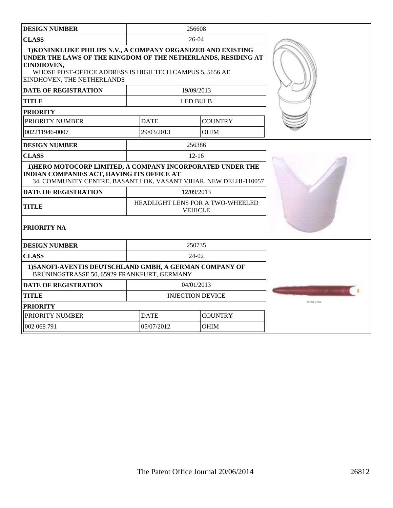| <b>DESIGN NUMBER</b>                                                                                                                                                                                                                   |                               | 256608                                             |                     |
|----------------------------------------------------------------------------------------------------------------------------------------------------------------------------------------------------------------------------------------|-------------------------------|----------------------------------------------------|---------------------|
| <b>CLASS</b>                                                                                                                                                                                                                           |                               | $26-04$                                            |                     |
| 1) KONINKLIJKE PHILIPS N.V., A COMPANY ORGANIZED AND EXISTING<br>UNDER THE LAWS OF THE KINGDOM OF THE NETHERLANDS, RESIDING AT<br>EINDHOVEN,<br>WHOSE POST-OFFICE ADDRESS IS HIGH TECH CAMPUS 5, 5656 AE<br>EINDHOVEN, THE NETHERLANDS |                               |                                                    |                     |
| <b>DATE OF REGISTRATION</b>                                                                                                                                                                                                            |                               | 19/09/2013                                         |                     |
| <b>TITLE</b>                                                                                                                                                                                                                           |                               | <b>LED BULB</b>                                    |                     |
| <b>PRIORITY</b>                                                                                                                                                                                                                        |                               |                                                    |                     |
| PRIORITY NUMBER                                                                                                                                                                                                                        | <b>DATE</b>                   | <b>COUNTRY</b>                                     |                     |
| 002211946-0007                                                                                                                                                                                                                         | 29/03/2013                    | <b>OHIM</b>                                        |                     |
| <b>DESIGN NUMBER</b>                                                                                                                                                                                                                   |                               | 256386                                             |                     |
| <b>CLASS</b>                                                                                                                                                                                                                           |                               | $12 - 16$                                          |                     |
| 1) HERO MOTOCORP LIMITED, A COMPANY INCORPORATED UNDER THE<br><b>INDIAN COMPANIES ACT, HAVING ITS OFFICE AT</b><br>34, COMMUNITY CENTRE, BASANT LOK, VASANT VIHAR, NEW DELHI-110057                                                    |                               |                                                    |                     |
| <b>DATE OF REGISTRATION</b>                                                                                                                                                                                                            |                               | 12/09/2013                                         |                     |
| TITLE                                                                                                                                                                                                                                  |                               | HEADLIGHT LENS FOR A TWO-WHEELED<br><b>VEHICLE</b> |                     |
| PRIORITY NA                                                                                                                                                                                                                            |                               |                                                    |                     |
| <b>DESIGN NUMBER</b>                                                                                                                                                                                                                   |                               | 250735                                             |                     |
| <b>CLASS</b>                                                                                                                                                                                                                           |                               | 24-02                                              |                     |
| 1) SANOFI-AVENTIS DEUTSCHLAND GMBH, A GERMAN COMPANY OF<br>BRÜNINGSTRASSE 50, 65929 FRANKFURT, GERMANY                                                                                                                                 |                               |                                                    |                     |
| <b>DATE OF REGISTRATION</b>                                                                                                                                                                                                            |                               | 04/01/2013                                         |                     |
| <b>TITLE</b>                                                                                                                                                                                                                           |                               | <b>INJECTION DEVICE</b>                            |                     |
| <b>PRIORITY</b>                                                                                                                                                                                                                        |                               |                                                    | <b>PO SAVE VIEW</b> |
| PRIORITY NUMBER                                                                                                                                                                                                                        | <b>DATE</b><br><b>COUNTRY</b> |                                                    |                     |
| 002 068 791                                                                                                                                                                                                                            | 05/07/2012                    | <b>OHIM</b>                                        |                     |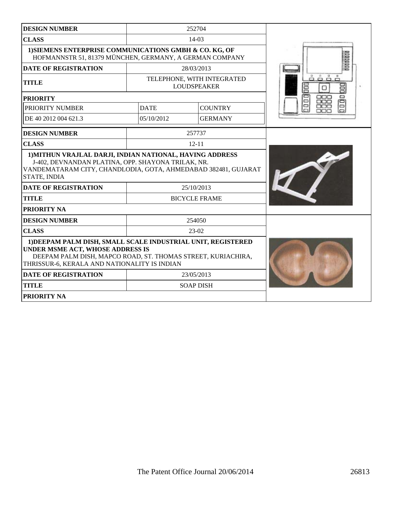| <b>DESIGN NUMBER</b>                                                                                                                                                                                                                            |                  | 252704                                           |                  |
|-------------------------------------------------------------------------------------------------------------------------------------------------------------------------------------------------------------------------------------------------|------------------|--------------------------------------------------|------------------|
| <b>CLASS</b>                                                                                                                                                                                                                                    |                  | $14-03$                                          |                  |
| 1) SIEMENS ENTERPRISE COMMUNICATIONS GMBH & CO. KG, OF<br>HOFMANNSTR 51, 81379 MÜNCHEN, GERMANY, A GERMAN COMPANY                                                                                                                               |                  |                                                  |                  |
| <b>DATE OF REGISTRATION</b>                                                                                                                                                                                                                     |                  | 28/03/2013                                       |                  |
| <b>TITLE</b>                                                                                                                                                                                                                                    |                  | TELEPHONE, WITH INTEGRATED<br><b>LOUDSPEAKER</b> | å<br>昌<br>巪<br>ο |
| <b>PRIORITY</b>                                                                                                                                                                                                                                 |                  |                                                  | ---<br>▭<br>▭    |
| PRIORITY NUMBER                                                                                                                                                                                                                                 | <b>DATE</b>      | <b>COUNTRY</b>                                   | 80               |
| DE 40 2012 004 621.3                                                                                                                                                                                                                            | 05/10/2012       | <b>GERMANY</b>                                   |                  |
| <b>DESIGN NUMBER</b>                                                                                                                                                                                                                            |                  | 257737                                           |                  |
| <b>CLASS</b>                                                                                                                                                                                                                                    |                  | $12 - 11$                                        |                  |
| 1) MITHUN VRAJLAL DARJI, INDIAN NATIONAL, HAVING ADDRESS<br>J-402, DEVNANDAN PLATINA, OPP. SHAYONA TRILAK, NR.<br>VANDEMATARAM CITY, CHANDLODIA, GOTA, AHMEDABAD 382481, GUJARAT<br>STATE, INDIA<br><b>DATE OF REGISTRATION</b><br><b>TITLE</b> |                  | 25/10/2013<br><b>BICYCLE FRAME</b>               |                  |
| PRIORITY NA                                                                                                                                                                                                                                     |                  |                                                  |                  |
| <b>DESIGN NUMBER</b>                                                                                                                                                                                                                            |                  | 254050                                           |                  |
| <b>CLASS</b>                                                                                                                                                                                                                                    |                  | $23-02$                                          |                  |
| 1) DEEPAM PALM DISH, SMALL SCALE INDUSTRIAL UNIT, REGISTERED<br>UNDER MSME ACT, WHOSE ADDRESS IS<br>DEEPAM PALM DISH, MAPCO ROAD, ST. THOMAS STREET, KURIACHIRA,<br>THRISSUR-6, KERALA AND NATIONALITY IS INDIAN                                |                  |                                                  |                  |
| <b>DATE OF REGISTRATION</b>                                                                                                                                                                                                                     | 23/05/2013       |                                                  |                  |
| <b>TITLE</b>                                                                                                                                                                                                                                    | <b>SOAP DISH</b> |                                                  |                  |
| PRIORITY NA                                                                                                                                                                                                                                     |                  |                                                  |                  |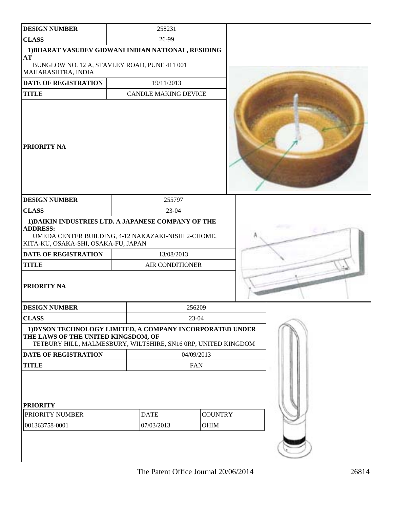| <b>DESIGN NUMBER</b>                                                                                                                                                 | 258231                      |            |                        |  |
|----------------------------------------------------------------------------------------------------------------------------------------------------------------------|-----------------------------|------------|------------------------|--|
| <b>CLASS</b>                                                                                                                                                         | 26-99                       |            |                        |  |
| 1) BHARAT VASUDEV GIDWANI INDIAN NATIONAL, RESIDING<br><b>AT</b>                                                                                                     |                             |            |                        |  |
| BUNGLOW NO. 12 A, STAVLEY ROAD, PUNE 411 001<br>MAHARASHTRA, INDIA                                                                                                   |                             |            |                        |  |
| DATE OF REGISTRATION                                                                                                                                                 | 19/11/2013                  |            |                        |  |
| <b>TITLE</b>                                                                                                                                                         | <b>CANDLE MAKING DEVICE</b> |            |                        |  |
| <b>PRIORITY NA</b>                                                                                                                                                   |                             |            |                        |  |
| <b>DESIGN NUMBER</b>                                                                                                                                                 | 255797                      |            |                        |  |
| <b>CLASS</b>                                                                                                                                                         | 23-04                       |            |                        |  |
| 1) DAIKIN INDUSTRIES LTD. A JAPANESE COMPANY OF THE<br><b>ADDRESS:</b><br>UMEDA CENTER BUILDING, 4-12 NAKAZAKI-NISHI 2-CHOME,<br>KITA-KU, OSAKA-SHI, OSAKA-FU, JAPAN |                             |            |                        |  |
| DATE OF REGISTRATION                                                                                                                                                 | 13/08/2013                  |            |                        |  |
| <b>TITLE</b>                                                                                                                                                         | AIR CONDITIONER             |            |                        |  |
| <b>PRIORITY NA</b>                                                                                                                                                   |                             |            |                        |  |
| <b>DESIGN NUMBER</b>                                                                                                                                                 |                             | 256209     |                        |  |
| <b>CLASS</b>                                                                                                                                                         |                             | 23-04      |                        |  |
| 1) DYSON TECHNOLOGY LIMITED, A COMPANY INCORPORATED UNDER<br>THE LAWS OF THE UNITED KINGSDOM, OF<br>TETBURY HILL, MALMESBURY, WILTSHIRE, SN16 0RP, UNITED KINGDOM    |                             |            |                        |  |
| <b>DATE OF REGISTRATION</b>                                                                                                                                          |                             | 04/09/2013 |                        |  |
| <b>TITLE</b>                                                                                                                                                         | <b>FAN</b>                  |            |                        |  |
| <b>PRIORITY</b><br>PRIORITY NUMBER<br>001363758-0001                                                                                                                 | <b>DATE</b><br>07/03/2013   |            | <b>COUNTRY</b><br>OHIM |  |
|                                                                                                                                                                      |                             |            |                        |  |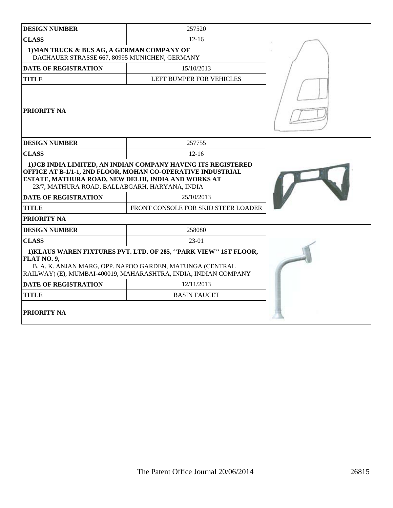| <b>DESIGN NUMBER</b>                                                                                                                                                                                                                  | 257520                              |  |  |
|---------------------------------------------------------------------------------------------------------------------------------------------------------------------------------------------------------------------------------------|-------------------------------------|--|--|
| <b>CLASS</b>                                                                                                                                                                                                                          | $12 - 16$                           |  |  |
| 1) MAN TRUCK & BUS AG, A GERMAN COMPANY OF<br>DACHAUER STRASSE 667, 80995 MUNICHEN, GERMANY                                                                                                                                           |                                     |  |  |
| <b>DATE OF REGISTRATION</b>                                                                                                                                                                                                           | 15/10/2013                          |  |  |
| <b>TITLE</b>                                                                                                                                                                                                                          |                                     |  |  |
| PRIORITY NA                                                                                                                                                                                                                           |                                     |  |  |
| <b>DESIGN NUMBER</b>                                                                                                                                                                                                                  | 257755                              |  |  |
| <b>CLASS</b>                                                                                                                                                                                                                          | $12 - 16$                           |  |  |
| 1) JCB INDIA LIMITED, AN INDIAN COMPANY HAVING ITS REGISTERED<br>OFFICE AT B-1/1-1, 2ND FLOOR, MOHAN CO-OPERATIVE INDUSTRIAL<br>ESTATE, MATHURA ROAD, NEW DELHI, INDIA AND WORKS AT<br>23/7, MATHURA ROAD, BALLABGARH, HARYANA, INDIA |                                     |  |  |
| <b>DATE OF REGISTRATION</b>                                                                                                                                                                                                           | 25/10/2013                          |  |  |
| <b>TITLE</b>                                                                                                                                                                                                                          | FRONT CONSOLE FOR SKID STEER LOADER |  |  |
| PRIORITY NA                                                                                                                                                                                                                           |                                     |  |  |
| <b>DESIGN NUMBER</b>                                                                                                                                                                                                                  | 258080                              |  |  |
| <b>CLASS</b>                                                                                                                                                                                                                          | $23-01$                             |  |  |
| 1) KLAUS WAREN FIXTURES PVT. LTD. OF 285, "PARK VIEW" 1ST FLOOR,<br>FLAT NO. 9,<br>B. A. K. ANJAN MARG, OPP. NAPOO GARDEN, MATUNGA (CENTRAL<br>RAILWAY) (E), MUMBAI-400019, MAHARASHTRA, INDIA, INDIAN COMPANY                        |                                     |  |  |
| <b>DATE OF REGISTRATION</b>                                                                                                                                                                                                           | 12/11/2013                          |  |  |
| <b>TITLE</b>                                                                                                                                                                                                                          |                                     |  |  |
| <b>PRIORITY NA</b>                                                                                                                                                                                                                    |                                     |  |  |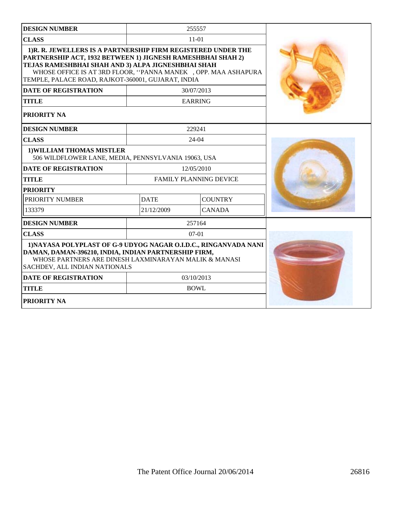| <b>DESIGN NUMBER</b>                                                                                                                                                                                                                                                                                      |                               | 255557         |  |
|-----------------------------------------------------------------------------------------------------------------------------------------------------------------------------------------------------------------------------------------------------------------------------------------------------------|-------------------------------|----------------|--|
| <b>CLASS</b>                                                                                                                                                                                                                                                                                              |                               | $11-01$        |  |
| 1)R. R. JEWELLERS IS A PARTNERSHIP FIRM REGISTERED UNDER THE<br>PARTNERSHIP ACT, 1932 BETWEEN 1) JIGNESH RAMESHBHAI SHAH 2)<br>TEJAS RAMESHBHAI SHAH AND 3) ALPA JIGNESHBHAI SHAH<br>WHOSE OFFICE IS AT 3RD FLOOR, "PANNA MANEK , OPP. MAA ASHAPURA<br>TEMPLE, PALACE ROAD, RAJKOT-360001, GUJARAT, INDIA |                               |                |  |
| <b>DATE OF REGISTRATION</b>                                                                                                                                                                                                                                                                               |                               | 30/07/2013     |  |
| <b>TITLE</b>                                                                                                                                                                                                                                                                                              |                               | <b>EARRING</b> |  |
| PRIORITY NA                                                                                                                                                                                                                                                                                               |                               |                |  |
| <b>DESIGN NUMBER</b>                                                                                                                                                                                                                                                                                      |                               | 229241         |  |
| <b>CLASS</b>                                                                                                                                                                                                                                                                                              |                               | $24 - 04$      |  |
| 1) WILLIAM THOMAS MISTLER<br>506 WILDFLOWER LANE, MEDIA, PENNSYLVANIA 19063, USA                                                                                                                                                                                                                          |                               |                |  |
| <b>DATE OF REGISTRATION</b>                                                                                                                                                                                                                                                                               |                               | 12/05/2010     |  |
| <b>TITLE</b>                                                                                                                                                                                                                                                                                              | <b>FAMILY PLANNING DEVICE</b> |                |  |
| <b>PRIORITY</b>                                                                                                                                                                                                                                                                                           |                               |                |  |
| PRIORITY NUMBER                                                                                                                                                                                                                                                                                           | <b>DATE</b>                   | <b>COUNTRY</b> |  |
| 133379                                                                                                                                                                                                                                                                                                    | 21/12/2009                    | <b>CANADA</b>  |  |
| <b>DESIGN NUMBER</b>                                                                                                                                                                                                                                                                                      |                               | 257164         |  |
| <b>CLASS</b>                                                                                                                                                                                                                                                                                              |                               | $07-01$        |  |
| 1) NAYASA POLYPLAST OF G-9 UDYOG NAGAR O.I.D.C., RINGANVADA NANI<br>DAMAN, DAMAN-396210, INDIA, INDIAN PARTNERSHIP FIRM,<br>WHOSE PARTNERS ARE DINESH LAXMINARAYAN MALIK & MANASI<br>SACHDEV, ALL INDIAN NATIONALS                                                                                        |                               |                |  |
| <b>DATE OF REGISTRATION</b>                                                                                                                                                                                                                                                                               |                               | 03/10/2013     |  |
| <b>TITLE</b>                                                                                                                                                                                                                                                                                              |                               | <b>BOWL</b>    |  |
| PRIORITY NA                                                                                                                                                                                                                                                                                               |                               |                |  |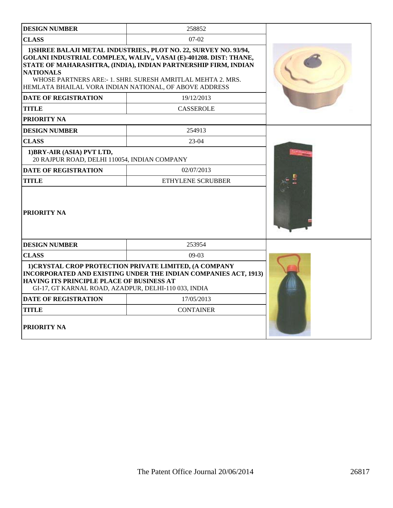| <b>DESIGN NUMBER</b>                                                                                                                                                                                                                  | 258852                                                                                                                                                                                                                                                                   |  |
|---------------------------------------------------------------------------------------------------------------------------------------------------------------------------------------------------------------------------------------|--------------------------------------------------------------------------------------------------------------------------------------------------------------------------------------------------------------------------------------------------------------------------|--|
| <b>CLASS</b>                                                                                                                                                                                                                          | 07-02                                                                                                                                                                                                                                                                    |  |
| <b>NATIONALS</b><br>HEMLATA BHAILAL VORA INDIAN NATIONAL, OF ABOVE ADDRESS                                                                                                                                                            | 1) SHREE BALAJI METAL INDUSTRIES., PLOT NO. 22, SURVEY NO. 93/94,<br>GOLANI INDUSTRIAL COMPLEX, WALIV,, VASAI (E)-401208. DIST: THANE,<br>STATE OF MAHARASHTRA, (INDIA), INDIAN PARTNERSHIP FIRM, INDIAN<br>WHOSE PARTNERS ARE: - 1. SHRI. SURESH AMRITLAL MEHTA 2. MRS. |  |
| <b>DATE OF REGISTRATION</b>                                                                                                                                                                                                           | 19/12/2013                                                                                                                                                                                                                                                               |  |
| <b>TITLE</b>                                                                                                                                                                                                                          | <b>CASSEROLE</b>                                                                                                                                                                                                                                                         |  |
| <b>PRIORITY NA</b>                                                                                                                                                                                                                    |                                                                                                                                                                                                                                                                          |  |
| <b>DESIGN NUMBER</b>                                                                                                                                                                                                                  | 254913                                                                                                                                                                                                                                                                   |  |
| <b>CLASS</b>                                                                                                                                                                                                                          | 23-04                                                                                                                                                                                                                                                                    |  |
| 1) BRY-AIR (ASIA) PVT LTD,<br>20 RAJPUR ROAD, DELHI 110054, INDIAN COMPANY                                                                                                                                                            |                                                                                                                                                                                                                                                                          |  |
| <b>DATE OF REGISTRATION</b>                                                                                                                                                                                                           | 02/07/2013                                                                                                                                                                                                                                                               |  |
| <b>TITLE</b>                                                                                                                                                                                                                          | <b>ETHYLENE SCRUBBER</b>                                                                                                                                                                                                                                                 |  |
| <b>PRIORITY NA</b>                                                                                                                                                                                                                    |                                                                                                                                                                                                                                                                          |  |
| <b>DESIGN NUMBER</b>                                                                                                                                                                                                                  | 253954                                                                                                                                                                                                                                                                   |  |
| <b>CLASS</b>                                                                                                                                                                                                                          | $09-03$                                                                                                                                                                                                                                                                  |  |
| 1) CRYSTAL CROP PROTECTION PRIVATE LIMITED, (A COMPANY<br>INCORPORATED AND EXISTING UNDER THE INDIAN COMPANIES ACT, 1913)<br><b>HAVING ITS PRINCIPLE PLACE OF BUSINESS AT</b><br>GI-17, GT KARNAL ROAD, AZADPUR, DELHI-110 033, INDIA |                                                                                                                                                                                                                                                                          |  |
| <b>DATE OF REGISTRATION</b>                                                                                                                                                                                                           |                                                                                                                                                                                                                                                                          |  |
| <b>TITLE</b>                                                                                                                                                                                                                          | <b>CONTAINER</b>                                                                                                                                                                                                                                                         |  |
| <b>PRIORITY NA</b>                                                                                                                                                                                                                    |                                                                                                                                                                                                                                                                          |  |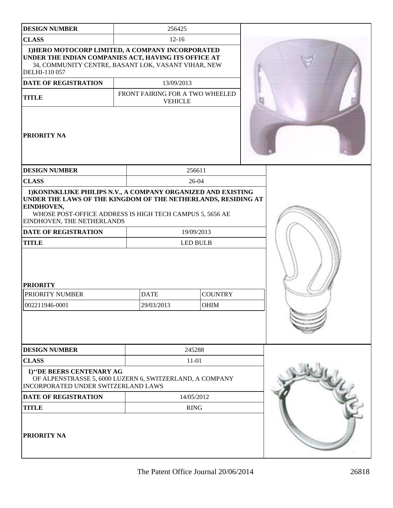| <b>DESIGN NUMBER</b>                                                                                                                                                             | 256425                                                                                                                                                                                                                      |                |  |              |
|----------------------------------------------------------------------------------------------------------------------------------------------------------------------------------|-----------------------------------------------------------------------------------------------------------------------------------------------------------------------------------------------------------------------------|----------------|--|--------------|
| <b>CLASS</b>                                                                                                                                                                     | $12-16$                                                                                                                                                                                                                     |                |  |              |
| 1) HERO MOTOCORP LIMITED, A COMPANY INCORPORATED<br>UNDER THE INDIAN COMPANIES ACT, HAVING ITS OFFICE AT<br>34, COMMUNITY CENTRE, BASANT LOK, VASANT VIHAR, NEW<br>DELHI-110 057 |                                                                                                                                                                                                                             |                |  |              |
| <b>DATE OF REGISTRATION</b>                                                                                                                                                      | 13/09/2013                                                                                                                                                                                                                  |                |  |              |
| <b>TITLE</b>                                                                                                                                                                     | FRONT FAIRING FOR A TWO WHEELED<br><b>VEHICLE</b>                                                                                                                                                                           |                |  |              |
| PRIORITY NA                                                                                                                                                                      |                                                                                                                                                                                                                             |                |  |              |
| <b>DESIGN NUMBER</b>                                                                                                                                                             |                                                                                                                                                                                                                             | 256611         |  |              |
| <b>CLASS</b>                                                                                                                                                                     |                                                                                                                                                                                                                             | 26-04          |  |              |
| EINDHOVEN,<br>EINDHOVEN, THE NETHERLANDS<br><b>DATE OF REGISTRATION</b><br><b>TITLE</b>                                                                                          | 1) KONINKLIJKE PHILIPS N.V., A COMPANY ORGANIZED AND EXISTING<br>UNDER THE LAWS OF THE KINGDOM OF THE NETHERLANDS, RESIDING AT<br>WHOSE POST-OFFICE ADDRESS IS HIGH TECH CAMPUS 5, 5656 AE<br>19/09/2013<br><b>LED BULB</b> |                |  |              |
| <b>PRIORITY</b>                                                                                                                                                                  |                                                                                                                                                                                                                             |                |  |              |
| PRIORITY NUMBER                                                                                                                                                                  | <b>DATE</b>                                                                                                                                                                                                                 | <b>COUNTRY</b> |  |              |
| 002211946-0001                                                                                                                                                                   | 29/03/2013                                                                                                                                                                                                                  | OHIM           |  |              |
| <b>DESIGN NUMBER</b>                                                                                                                                                             |                                                                                                                                                                                                                             | 245288         |  |              |
| <b>CLASS</b>                                                                                                                                                                     | $11-01$                                                                                                                                                                                                                     |                |  |              |
| 1)"DE BEERS CENTENARY AG<br>OF ALPENSTRASSE 5, 6000 LUZERN 6, SWITZERLAND, A COMPANY<br>INCORPORATED UNDER SWITZERLAND LAWS                                                      |                                                                                                                                                                                                                             |                |  | <b>LOUTE</b> |
| DATE OF REGISTRATION                                                                                                                                                             | 14/05/2012                                                                                                                                                                                                                  |                |  |              |
| <b>TITLE</b>                                                                                                                                                                     | <b>RING</b>                                                                                                                                                                                                                 |                |  |              |
| PRIORITY NA                                                                                                                                                                      |                                                                                                                                                                                                                             |                |  |              |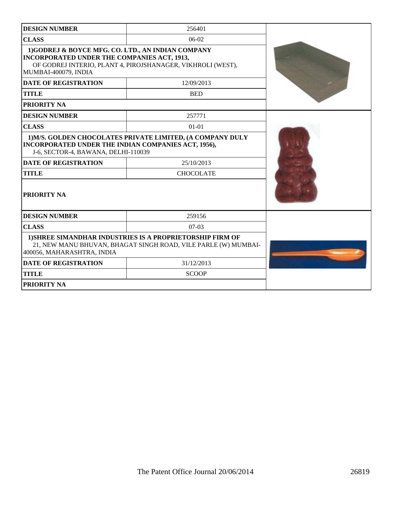| <b>DESIGN NUMBER</b>                                                                                                            | 256401                                                                                                                             |  |
|---------------------------------------------------------------------------------------------------------------------------------|------------------------------------------------------------------------------------------------------------------------------------|--|
| <b>CLASS</b>                                                                                                                    | $06-02$                                                                                                                            |  |
| 1)GODREJ & BOYCE MFG. CO. LTD., AN INDIAN COMPANY<br><b>INCORPORATED UNDER THE COMPANIES ACT, 1913,</b><br>MUMBAI-400079, INDIA | OF GODREJ INTERIO, PLANT 4, PIROJSHANAGER, VIKHROLI (WEST),                                                                        |  |
| <b>DATE OF REGISTRATION</b>                                                                                                     | 12/09/2013                                                                                                                         |  |
| <b>TITLE</b>                                                                                                                    | <b>BED</b>                                                                                                                         |  |
| <b>PRIORITY NA</b>                                                                                                              |                                                                                                                                    |  |
| <b>DESIGN NUMBER</b>                                                                                                            | 257771                                                                                                                             |  |
| <b>CLASS</b>                                                                                                                    | $01 - 01$                                                                                                                          |  |
| INCORPORATED UNDER THE INDIAN COMPANIES ACT, 1956),<br>J-6, SECTOR-4, BAWANA, DELHI-110039                                      | 1) M/S. GOLDEN CHOCOLATES PRIVATE LIMITED, (A COMPANY DULY                                                                         |  |
| <b>DATE OF REGISTRATION</b>                                                                                                     | 25/10/2013                                                                                                                         |  |
| <b>TITLE</b>                                                                                                                    | <b>CHOCOLATE</b>                                                                                                                   |  |
| <b>PRIORITY NA</b>                                                                                                              |                                                                                                                                    |  |
| <b>DESIGN NUMBER</b>                                                                                                            | 259156                                                                                                                             |  |
| <b>CLASS</b>                                                                                                                    | $07-03$                                                                                                                            |  |
| 400056, MAHARASHTRA, INDIA                                                                                                      | <b>1) SHREE SIMANDHAR INDUSTRIES IS A PROPRIETORSHIP FIRM OF</b><br>21, NEW MANU BHUVAN, BHAGAT SINGH ROAD, VILE PARLE (W) MUMBAI- |  |
| <b>DATE OF REGISTRATION</b>                                                                                                     | 31/12/2013                                                                                                                         |  |
| <b>TITLE</b>                                                                                                                    | <b>SCOOP</b>                                                                                                                       |  |
| <b>PRIORITY NA</b>                                                                                                              |                                                                                                                                    |  |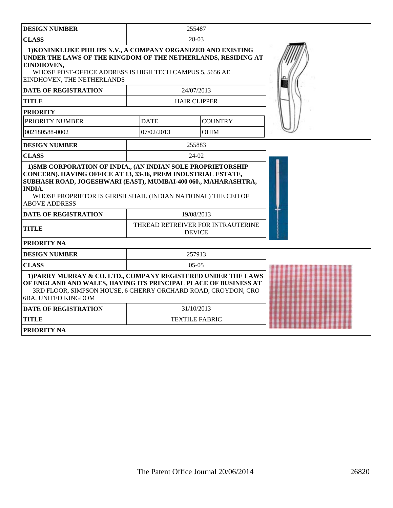| <b>DESIGN NUMBER</b>                                                                                                                                                                                                                      |             | 255487                                             |  |
|-------------------------------------------------------------------------------------------------------------------------------------------------------------------------------------------------------------------------------------------|-------------|----------------------------------------------------|--|
| <b>CLASS</b>                                                                                                                                                                                                                              |             | 28-03                                              |  |
| 1) KONINKLIJKE PHILIPS N.V., A COMPANY ORGANIZED AND EXISTING<br>UNDER THE LAWS OF THE KINGDOM OF THE NETHERLANDS, RESIDING AT<br>EINDHOVEN,<br>WHOSE POST-OFFICE ADDRESS IS HIGH TECH CAMPUS 5, 5656 AE<br>EINDHOVEN, THE NETHERLANDS    |             |                                                    |  |
| <b>DATE OF REGISTRATION</b>                                                                                                                                                                                                               |             | 24/07/2013                                         |  |
| <b>TITLE</b>                                                                                                                                                                                                                              |             | <b>HAIR CLIPPER</b>                                |  |
| <b>PRIORITY</b>                                                                                                                                                                                                                           |             |                                                    |  |
| PRIORITY NUMBER                                                                                                                                                                                                                           | <b>DATE</b> | <b>COUNTRY</b>                                     |  |
| 002180588-0002                                                                                                                                                                                                                            | 07/02/2013  | <b>OHIM</b>                                        |  |
| <b>DESIGN NUMBER</b>                                                                                                                                                                                                                      |             | 255883                                             |  |
| <b>CLASS</b>                                                                                                                                                                                                                              |             | $24-02$                                            |  |
| CONCERN). HAVING OFFICE AT 13, 33-36, PREM INDUSTRIAL ESTATE,<br>SUBHASH ROAD, JOGESHWARI (EAST), MUMBAI-400 060., MAHARASHTRA,<br><b>INDIA.</b><br>WHOSE PROPRIETOR IS GIRISH SHAH. (INDIAN NATIONAL) THE CEO OF<br><b>ABOVE ADDRESS</b> |             |                                                    |  |
| <b>DATE OF REGISTRATION</b>                                                                                                                                                                                                               |             | 19/08/2013                                         |  |
| <b>TITLE</b>                                                                                                                                                                                                                              |             | THREAD RETREIVER FOR INTRAUTERINE<br><b>DEVICE</b> |  |
| PRIORITY NA                                                                                                                                                                                                                               |             |                                                    |  |
| <b>DESIGN NUMBER</b>                                                                                                                                                                                                                      |             | 257913                                             |  |
| <b>CLASS</b>                                                                                                                                                                                                                              | $05-05$     |                                                    |  |
| 1) PARRY MURRAY & CO. LTD., COMPANY REGISTERED UNDER THE LAWS<br>OF ENGLAND AND WALES, HAVING ITS PRINCIPAL PLACE OF BUSINESS AT<br>3RD FLOOR, SIMPSON HOUSE, 6 CHERRY ORCHARD ROAD, CROYDON, CRO<br>6BA, UNITED KINGDOM                  |             |                                                    |  |
| <b>DATE OF REGISTRATION</b>                                                                                                                                                                                                               |             | 31/10/2013                                         |  |
| <b>TITLE</b>                                                                                                                                                                                                                              |             | <b>TEXTILE FABRIC</b>                              |  |
| <b>PRIORITY NA</b>                                                                                                                                                                                                                        |             |                                                    |  |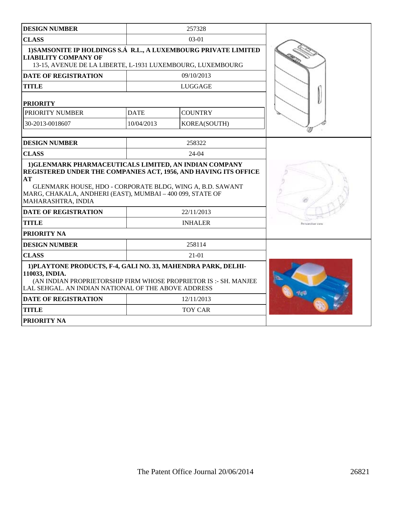| <b>DESIGN NUMBER</b>                                                                                                                                                                                                                                                            |             | 257328         |                  |
|---------------------------------------------------------------------------------------------------------------------------------------------------------------------------------------------------------------------------------------------------------------------------------|-------------|----------------|------------------|
| <b>CLASS</b>                                                                                                                                                                                                                                                                    |             | $03-01$        |                  |
| 1) SAMSONITE IP HOLDINGS S.Á R.L., A LUXEMBOURG PRIVATE LIMITED<br><b>LIABILITY COMPANY OF</b><br>13-15, AVENUE DE LA LIBERTE, L-1931 LUXEMBOURG, LUXEMBOURG                                                                                                                    |             |                |                  |
| <b>DATE OF REGISTRATION</b>                                                                                                                                                                                                                                                     |             | 09/10/2013     |                  |
| <b>TITLE</b>                                                                                                                                                                                                                                                                    |             | LUGGAGE        |                  |
| <b>PRIORITY</b>                                                                                                                                                                                                                                                                 |             |                |                  |
| PRIORITY NUMBER                                                                                                                                                                                                                                                                 | <b>DATE</b> | <b>COUNTRY</b> |                  |
| 30-2013-0018607                                                                                                                                                                                                                                                                 | 10/04/2013  | KOREA(SOUTH)   |                  |
| <b>DESIGN NUMBER</b>                                                                                                                                                                                                                                                            |             | 258322         |                  |
| <b>CLASS</b>                                                                                                                                                                                                                                                                    |             | $24-04$        |                  |
| 1) GLENMARK PHARMACEUTICALS LIMITED, AN INDIAN COMPANY<br>REGISTERED UNDER THE COMPANIES ACT, 1956, AND HAVING ITS OFFICE<br>AT<br>GLENMARK HOUSE, HDO - CORPORATE BLDG, WING A, B.D. SAWANT<br>MARG, CHAKALA, ANDHERI (EAST), MUMBAI - 400 099, STATE OF<br>MAHARASHTRA, INDIA |             |                |                  |
| <b>DATE OF REGISTRATION</b>                                                                                                                                                                                                                                                     |             | 22/11/2013     |                  |
| <b>TITLE</b>                                                                                                                                                                                                                                                                    |             | <b>INHALER</b> | Personolive view |
| PRIORITY NA                                                                                                                                                                                                                                                                     |             |                |                  |
| <b>DESIGN NUMBER</b>                                                                                                                                                                                                                                                            |             | 258114         |                  |
| <b>CLASS</b>                                                                                                                                                                                                                                                                    |             | $21-01$        |                  |
| 1) PLAYTONE PRODUCTS, F-4, GALI NO. 33, MAHENDRA PARK, DELHI-<br>110033, INDIA.<br>(AN INDIAN PROPRIETORSHIP FIRM WHOSE PROPRIETOR IS: - SH. MANJEE<br>LAL SEHGAL. AN INDIAN NATIONAL OF THE ABOVE ADDRESS                                                                      |             |                |                  |
| <b>DATE OF REGISTRATION</b>                                                                                                                                                                                                                                                     |             | 12/11/2013     |                  |
| <b>TITLE</b>                                                                                                                                                                                                                                                                    |             | <b>TOY CAR</b> |                  |
| <b>PRIORITY NA</b>                                                                                                                                                                                                                                                              |             |                |                  |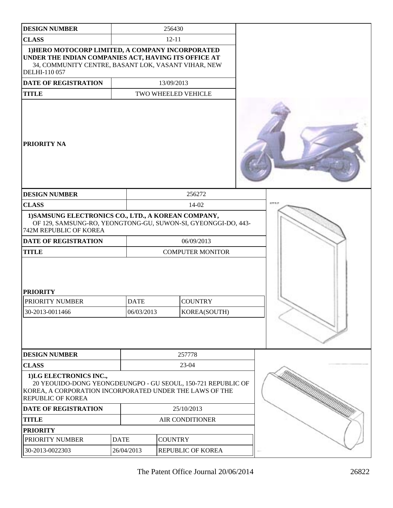| <b>DESIGN NUMBER</b>                                                                                                                                                             | 256430                    |                                |  |         |
|----------------------------------------------------------------------------------------------------------------------------------------------------------------------------------|---------------------------|--------------------------------|--|---------|
| <b>CLASS</b>                                                                                                                                                                     | $12 - 11$                 |                                |  |         |
| 1) HERO MOTOCORP LIMITED, A COMPANY INCORPORATED<br>UNDER THE INDIAN COMPANIES ACT, HAVING ITS OFFICE AT<br>34, COMMUNITY CENTRE, BASANT LOK, VASANT VIHAR, NEW<br>DELHI-110 057 |                           |                                |  |         |
| <b>DATE OF REGISTRATION</b>                                                                                                                                                      |                           | 13/09/2013                     |  |         |
| <b>TITLE</b>                                                                                                                                                                     |                           | TWO WHEELED VEHICLE            |  |         |
| <b>PRIORITY NA</b>                                                                                                                                                               |                           |                                |  |         |
| <b>DESIGN NUMBER</b>                                                                                                                                                             |                           | 256272                         |  |         |
| <b>CLASS</b>                                                                                                                                                                     |                           | 14-02                          |  | 40004-0 |
| 1) SAMSUNG ELECTRONICS CO., LTD., A KOREAN COMPANY,<br>OF 129, SAMSUNG-RO, YEONGTONG-GU, SUWON-SI, GYEONGGI-DO, 443-<br>742M REPUBLIC OF KOREA                                   |                           |                                |  |         |
| <b>DATE OF REGISTRATION</b>                                                                                                                                                      |                           | 06/09/2013                     |  |         |
| <b>TITLE</b>                                                                                                                                                                     |                           | <b>COMPUTER MONITOR</b>        |  |         |
| <b>PRIORITY</b><br>PRIORITY NUMBER<br>30-2013-0011466                                                                                                                            | <b>DATE</b><br>06/03/2013 | <b>COUNTRY</b><br>KOREA(SOUTH) |  |         |
| <b>DESIGN NUMBER</b>                                                                                                                                                             |                           | 257778                         |  |         |
| <b>CLASS</b>                                                                                                                                                                     |                           | 23-04                          |  |         |
| 1)LG ELECTRONICS INC.,<br>20 YEOUIDO-DONG YEONGDEUNGPO - GU SEOUL, 150-721 REPUBLIC OF<br>KOREA, A CORPORATION INCORPORATED UNDER THE LAWS OF THE<br><b>REPUBLIC OF KOREA</b>    |                           |                                |  |         |
| DATE OF REGISTRATION                                                                                                                                                             |                           | 25/10/2013                     |  |         |
| <b>TITLE</b>                                                                                                                                                                     |                           | AIR CONDITIONER                |  |         |
| <b>PRIORITY</b>                                                                                                                                                                  |                           |                                |  |         |
| PRIORITY NUMBER                                                                                                                                                                  | <b>DATE</b>               | <b>COUNTRY</b>                 |  |         |
| 30-2013-0022303                                                                                                                                                                  | 26/04/2013                | REPUBLIC OF KOREA              |  |         |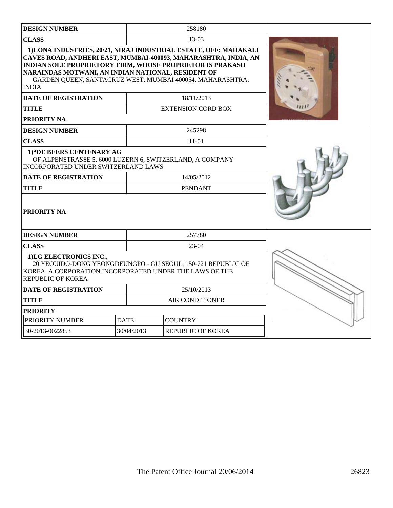| <b>DESIGN NUMBER</b>                                                                                                                                                  |             | 258180                                                                                                                                                                                                          |  |
|-----------------------------------------------------------------------------------------------------------------------------------------------------------------------|-------------|-----------------------------------------------------------------------------------------------------------------------------------------------------------------------------------------------------------------|--|
| <b>CLASS</b>                                                                                                                                                          |             | $13-03$                                                                                                                                                                                                         |  |
| <b>INDIAN SOLE PROPRIETORY FIRM, WHOSE PROPRIETOR IS PRAKASH</b><br>NARAINDAS MOTWANI, AN INDIAN NATIONAL, RESIDENT OF<br><b>INDIA</b><br><b>DATE OF REGISTRATION</b> |             | 1) CONA INDUSTRIES, 20/21, NIRAJ INDUSTRIAL ESTATE, OFF: MAHAKALI<br>CAVES ROAD, ANDHERI EAST, MUMBAI-400093, MAHARASHTRA, INDIA, AN<br>GARDEN QUEEN, SANTACRUZ WEST, MUMBAI 400054, MAHARASHTRA,<br>18/11/2013 |  |
| <b>TITLE</b>                                                                                                                                                          |             | <b>EXTENSION CORD BOX</b>                                                                                                                                                                                       |  |
| PRIORITY NA                                                                                                                                                           |             |                                                                                                                                                                                                                 |  |
| <b>DESIGN NUMBER</b>                                                                                                                                                  |             | 245298                                                                                                                                                                                                          |  |
| <b>CLASS</b>                                                                                                                                                          |             | 11-01                                                                                                                                                                                                           |  |
| 1) "DE BEERS CENTENARY AG<br>OF ALPENSTRASSE 5, 6000 LUZERN 6, SWITZERLAND, A COMPANY<br>INCORPORATED UNDER SWITZERLAND LAWS                                          |             |                                                                                                                                                                                                                 |  |
| <b>DATE OF REGISTRATION</b>                                                                                                                                           | 14/05/2012  |                                                                                                                                                                                                                 |  |
| <b>TITLE</b>                                                                                                                                                          |             | <b>PENDANT</b>                                                                                                                                                                                                  |  |
| PRIORITY NA                                                                                                                                                           |             |                                                                                                                                                                                                                 |  |
| <b>DESIGN NUMBER</b>                                                                                                                                                  |             | 257780                                                                                                                                                                                                          |  |
| <b>CLASS</b>                                                                                                                                                          |             | $23-04$                                                                                                                                                                                                         |  |
| 1)LG ELECTRONICS INC.,<br>KOREA, A CORPORATION INCORPORATED UNDER THE LAWS OF THE<br><b>REPUBLIC OF KOREA</b>                                                         |             | 20 YEOUIDO-DONG YEONGDEUNGPO - GU SEOUL, 150-721 REPUBLIC OF                                                                                                                                                    |  |
| 25/10/2013<br><b>DATE OF REGISTRATION</b>                                                                                                                             |             |                                                                                                                                                                                                                 |  |
| <b>TITLE</b>                                                                                                                                                          |             | <b>AIR CONDITIONER</b>                                                                                                                                                                                          |  |
| <b>PRIORITY</b>                                                                                                                                                       |             |                                                                                                                                                                                                                 |  |
| PRIORITY NUMBER                                                                                                                                                       | <b>DATE</b> | <b>COUNTRY</b>                                                                                                                                                                                                  |  |
| 30-2013-0022853                                                                                                                                                       | 30/04/2013  | <b>REPUBLIC OF KOREA</b>                                                                                                                                                                                        |  |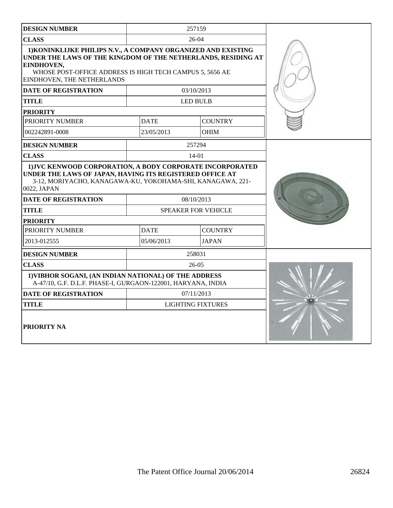| <b>DESIGN NUMBER</b>                                                                                                                                                                                                                   |             | 257159                     |  |
|----------------------------------------------------------------------------------------------------------------------------------------------------------------------------------------------------------------------------------------|-------------|----------------------------|--|
| <b>CLASS</b>                                                                                                                                                                                                                           |             | $26-04$                    |  |
| 1) KONINKLIJKE PHILIPS N.V., A COMPANY ORGANIZED AND EXISTING<br>UNDER THE LAWS OF THE KINGDOM OF THE NETHERLANDS, RESIDING AT<br>EINDHOVEN,<br>WHOSE POST-OFFICE ADDRESS IS HIGH TECH CAMPUS 5, 5656 AE<br>EINDHOVEN, THE NETHERLANDS |             |                            |  |
| <b>DATE OF REGISTRATION</b>                                                                                                                                                                                                            |             | 03/10/2013                 |  |
| <b>TITLE</b>                                                                                                                                                                                                                           |             | <b>LED BULB</b>            |  |
| <b>PRIORITY</b>                                                                                                                                                                                                                        |             |                            |  |
| PRIORITY NUMBER                                                                                                                                                                                                                        | <b>DATE</b> | <b>COUNTRY</b>             |  |
| 002242891-0008                                                                                                                                                                                                                         | 23/05/2013  | <b>OHIM</b>                |  |
| <b>DESIGN NUMBER</b>                                                                                                                                                                                                                   |             | 257294                     |  |
| <b>CLASS</b>                                                                                                                                                                                                                           |             | $14 - 01$                  |  |
| 1) JVC KENWOOD CORPORATION, A BODY CORPORATE INCORPORATED<br>UNDER THE LAWS OF JAPAN, HAVING ITS REGISTERED OFFICE AT<br>3-12, MORIYACHO, KANAGAWA-KU, YOKOHAMA-SHI, KANAGAWA, 221-<br>0022, JAPAN                                     |             |                            |  |
| <b>DATE OF REGISTRATION</b>                                                                                                                                                                                                            |             | 08/10/2013                 |  |
| <b>TITLE</b>                                                                                                                                                                                                                           |             | <b>SPEAKER FOR VEHICLE</b> |  |
| <b>PRIORITY</b>                                                                                                                                                                                                                        |             |                            |  |
| PRIORITY NUMBER                                                                                                                                                                                                                        | <b>DATE</b> | <b>COUNTRY</b>             |  |
| 2013-012555                                                                                                                                                                                                                            | 05/06/2013  | <b>JAPAN</b>               |  |
| <b>DESIGN NUMBER</b>                                                                                                                                                                                                                   |             | 258031                     |  |
| <b>CLASS</b><br>$26-05$                                                                                                                                                                                                                |             |                            |  |
| 1) VIBHOR SOGANI, (AN INDIAN NATIONAL) OF THE ADDRESS<br>A-47/10, G.F. D.L.F. PHASE-I, GURGAON-122001, HARYANA, INDIA                                                                                                                  |             |                            |  |
| <b>DATE OF REGISTRATION</b>                                                                                                                                                                                                            |             | 07/11/2013                 |  |
| <b>TITLE</b>                                                                                                                                                                                                                           |             | <b>LIGHTING FIXTURES</b>   |  |
| <b>PRIORITY NA</b>                                                                                                                                                                                                                     |             |                            |  |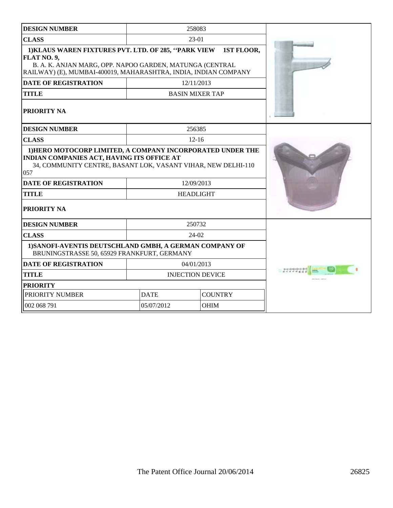| <b>DESIGN NUMBER</b>                                                                                                                                                                               |                               | 258083                 |               |
|----------------------------------------------------------------------------------------------------------------------------------------------------------------------------------------------------|-------------------------------|------------------------|---------------|
| <b>CLASS</b>                                                                                                                                                                                       |                               | 23-01                  |               |
| 1) KLAUS WAREN FIXTURES PVT. LTD. OF 285, "PARK VIEW<br>FLAT NO. 9,<br>B. A. K. ANJAN MARG, OPP. NAPOO GARDEN, MATUNGA (CENTRAL<br>RAILWAY) (E), MUMBAI-400019, MAHARASHTRA, INDIA, INDIAN COMPANY | 1ST FLOOR,                    |                        |               |
| <b>DATE OF REGISTRATION</b>                                                                                                                                                                        |                               | 12/11/2013             |               |
| <b>TITLE</b>                                                                                                                                                                                       |                               | <b>BASIN MIXER TAP</b> |               |
| <b>PRIORITY NA</b>                                                                                                                                                                                 |                               |                        |               |
| <b>DESIGN NUMBER</b>                                                                                                                                                                               |                               | 256385                 |               |
| <b>CLASS</b>                                                                                                                                                                                       |                               | $12 - 16$              |               |
| 1) HERO MOTOCORP LIMITED, A COMPANY INCORPORATED UNDER THE<br>INDIAN COMPANIES ACT, HAVING ITS OFFICE AT<br>34, COMMUNITY CENTRE, BASANT LOK, VASANT VIHAR, NEW DELHI-110<br>057                   |                               |                        |               |
| <b>DATE OF REGISTRATION</b>                                                                                                                                                                        |                               | 12/09/2013             |               |
| <b>TITLE</b>                                                                                                                                                                                       |                               | <b>HEADLIGHT</b>       |               |
| <b>PRIORITY NA</b>                                                                                                                                                                                 |                               |                        |               |
| <b>DESIGN NUMBER</b>                                                                                                                                                                               |                               | 250732                 |               |
| <b>CLASS</b>                                                                                                                                                                                       |                               | 24-02                  |               |
| 1) SANOFI-AVENTIS DEUTSCHLAND GMBH, A GERMAN COMPANY OF<br>BRUNINGSTRASSE 50, 65929 FRANKFURT, GERMANY                                                                                             |                               |                        |               |
| <b>DATE OF REGISTRATION</b>                                                                                                                                                                        |                               | 04/01/2013             | 1-1-1-1-1-1-1 |
| <b>TITLE</b>                                                                                                                                                                                       | <b>INJECTION DEVICE</b>       |                        |               |
| <b>PRIORITY</b>                                                                                                                                                                                    |                               |                        |               |
| PRIORITY NUMBER                                                                                                                                                                                    | <b>COUNTRY</b><br><b>DATE</b> |                        |               |
| 002 068 791                                                                                                                                                                                        | 05/07/2012<br><b>OHIM</b>     |                        |               |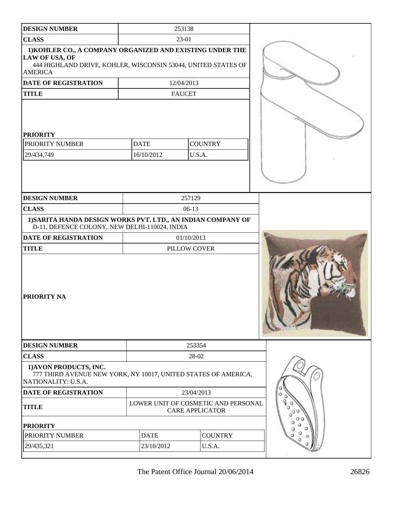| <b>DESIGN NUMBER</b>                                                                                                                                           |                           | 253138                                                        |  |
|----------------------------------------------------------------------------------------------------------------------------------------------------------------|---------------------------|---------------------------------------------------------------|--|
| <b>CLASS</b>                                                                                                                                                   |                           | 23-01                                                         |  |
| 1) KOHLER CO., A COMPANY ORGANIZED AND EXISTING UNDER THE<br>LAW OF USA, OF<br>444 HIGHLAND DRIVE, KOHLER, WISCONSIN 53044, UNITED STATES OF<br><b>AMERICA</b> |                           |                                                               |  |
| DATE OF REGISTRATION                                                                                                                                           |                           | 12/04/2013                                                    |  |
| <b>TITLE</b>                                                                                                                                                   |                           | <b>FAUCET</b>                                                 |  |
| <b>PRIORITY</b><br>PRIORITY NUMBER<br>29/434,749                                                                                                               | <b>DATE</b><br>16/10/2012 | <b>COUNTRY</b><br>U.S.A.                                      |  |
| <b>DESIGN NUMBER</b>                                                                                                                                           |                           | 257129                                                        |  |
| <b>CLASS</b>                                                                                                                                                   |                           | $06-13$                                                       |  |
| 1) SARITA HANDA DESIGN WORKS PVT. LTD., AN INDIAN COMPANY OF<br>D-11, DEFENCE COLONY, NEW DELHI-110024, INDIA                                                  |                           |                                                               |  |
| DATE OF REGISTRATION                                                                                                                                           | 01/10/2013                |                                                               |  |
| <b>TITLE</b>                                                                                                                                                   |                           | PILLOW COVER                                                  |  |
| PRIORITY NA                                                                                                                                                    |                           |                                                               |  |
|                                                                                                                                                                |                           |                                                               |  |
| <b>DESIGN NUMBER</b>                                                                                                                                           |                           | 253354                                                        |  |
| <b>CLASS</b>                                                                                                                                                   |                           | 28-02                                                         |  |
| 1) AVON PRODUCTS, INC.<br>777 THIRD AVENUE NEW YORK, NY 10017, UNITED STATES OF AMERICA,<br>NATIONALITY: U.S.A.                                                |                           |                                                               |  |
| DATE OF REGISTRATION                                                                                                                                           |                           | 23/04/2013                                                    |  |
| <b>TITLE</b>                                                                                                                                                   |                           | LOWER UNIT OF COSMETIC AND PERSONAL<br><b>CARE APPLICATOR</b> |  |
| <b>PRIORITY</b>                                                                                                                                                |                           |                                                               |  |
| PRIORITY NUMBER                                                                                                                                                | <b>DATE</b>               | <b>COUNTRY</b>                                                |  |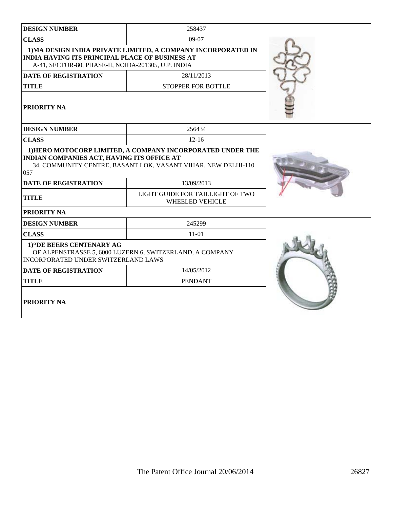| <b>DESIGN NUMBER</b>                                                                                                                                                             | 258437                                                        |  |
|----------------------------------------------------------------------------------------------------------------------------------------------------------------------------------|---------------------------------------------------------------|--|
|                                                                                                                                                                                  |                                                               |  |
| <b>CLASS</b>                                                                                                                                                                     | 09-07                                                         |  |
| <b>INDIA HAVING ITS PRINCIPAL PLACE OF BUSINESS AT</b><br>A-41, SECTOR-80, PHASE-II, NOIDA-201305, U.P. INDIA                                                                    | 1) MA DESIGN INDIA PRIVATE LIMITED, A COMPANY INCORPORATED IN |  |
| <b>DATE OF REGISTRATION</b>                                                                                                                                                      | 28/11/2013                                                    |  |
| <b>TITLE</b>                                                                                                                                                                     | <b>STOPPER FOR BOTTLE</b>                                     |  |
| PRIORITY NA                                                                                                                                                                      |                                                               |  |
| <b>DESIGN NUMBER</b>                                                                                                                                                             | 256434                                                        |  |
| <b>CLASS</b>                                                                                                                                                                     | $12 - 16$                                                     |  |
| 1) HERO MOTOCORP LIMITED, A COMPANY INCORPORATED UNDER THE<br>INDIAN COMPANIES ACT, HAVING ITS OFFICE AT<br>34, COMMUNITY CENTRE, BASANT LOK, VASANT VIHAR, NEW DELHI-110<br>057 |                                                               |  |
| <b>DATE OF REGISTRATION</b>                                                                                                                                                      | 13/09/2013                                                    |  |
| <b>TITLE</b>                                                                                                                                                                     | LIGHT GUIDE FOR TAILLIGHT OF TWO<br><b>WHEELED VEHICLE</b>    |  |
| PRIORITY NA                                                                                                                                                                      |                                                               |  |
| <b>DESIGN NUMBER</b>                                                                                                                                                             | 245299                                                        |  |
| <b>CLASS</b>                                                                                                                                                                     | $11 - 01$                                                     |  |
| 1) "DE BEERS CENTENARY AG<br>INCORPORATED UNDER SWITZERLAND LAWS                                                                                                                 | OF ALPENSTRASSE 5, 6000 LUZERN 6, SWITZERLAND, A COMPANY      |  |
| <b>DATE OF REGISTRATION</b>                                                                                                                                                      |                                                               |  |
| <b>TITLE</b>                                                                                                                                                                     | <b>PENDANT</b>                                                |  |
| <b>PRIORITY NA</b>                                                                                                                                                               |                                                               |  |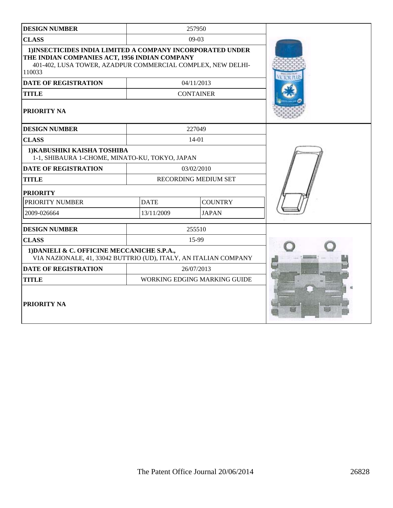| <b>DESIGN NUMBER</b>                                                                                                                                                                 |                               | 257950                       |  |
|--------------------------------------------------------------------------------------------------------------------------------------------------------------------------------------|-------------------------------|------------------------------|--|
| <b>CLASS</b>                                                                                                                                                                         |                               | 09-03                        |  |
| 1) INSECTICIDES INDIA LIMITED A COMPANY INCORPORATED UNDER<br>THE INDIAN COMPANIES ACT, 1956 INDIAN COMPANY<br>401-402, LUSA TOWER, AZADPUR COMMERCIAL COMPLEX, NEW DELHI-<br>110033 |                               |                              |  |
| <b>DATE OF REGISTRATION</b>                                                                                                                                                          |                               | 04/11/2013                   |  |
| <b>TITLE</b>                                                                                                                                                                         |                               | <b>CONTAINER</b>             |  |
| PRIORITY NA                                                                                                                                                                          |                               |                              |  |
| <b>DESIGN NUMBER</b>                                                                                                                                                                 |                               | 227049                       |  |
| <b>CLASS</b>                                                                                                                                                                         |                               | $14 - 01$                    |  |
| 1) KABUSHIKI KAISHA TOSHIBA<br>1-1, SHIBAURA 1-CHOME, MINATO-KU, TOKYO, JAPAN                                                                                                        |                               |                              |  |
| <b>DATE OF REGISTRATION</b>                                                                                                                                                          |                               | 03/02/2010                   |  |
| <b>TITLE</b>                                                                                                                                                                         |                               | <b>RECORDING MEDIUM SET</b>  |  |
| <b>PRIORITY</b>                                                                                                                                                                      |                               |                              |  |
| PRIORITY NUMBER                                                                                                                                                                      | <b>DATE</b><br><b>COUNTRY</b> |                              |  |
| 2009-026664                                                                                                                                                                          | 13/11/2009<br><b>JAPAN</b>    |                              |  |
| <b>DESIGN NUMBER</b>                                                                                                                                                                 |                               | 255510                       |  |
| <b>CLASS</b>                                                                                                                                                                         |                               | 15-99                        |  |
| 1) DANIELI & C. OFFICINE MECCANICHE S.P.A.,<br>VIA NAZIONALE, 41, 33042 BUTTRIO (UD), ITALY, AN ITALIAN COMPANY                                                                      |                               |                              |  |
| <b>DATE OF REGISTRATION</b>                                                                                                                                                          |                               | 26/07/2013                   |  |
| <b>TITLE</b>                                                                                                                                                                         |                               | WORKING EDGING MARKING GUIDE |  |
| PRIORITY NA                                                                                                                                                                          |                               |                              |  |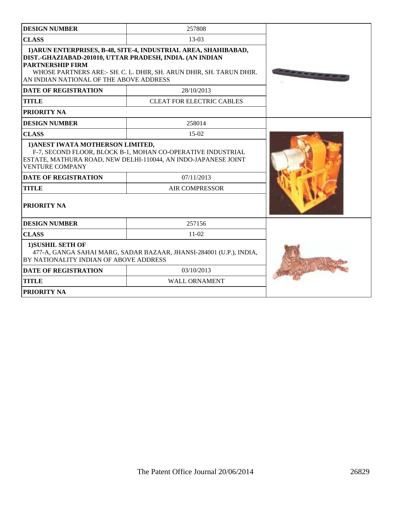| <b>DESIGN NUMBER</b>                                                                                                                                                                                                                                                     | 257808                           |  |
|--------------------------------------------------------------------------------------------------------------------------------------------------------------------------------------------------------------------------------------------------------------------------|----------------------------------|--|
| <b>CLASS</b><br>$13-03$                                                                                                                                                                                                                                                  |                                  |  |
| 1) ARUN ENTERPRISES, B-48, SITE-4, INDUSTRIAL AREA, SHAHIBABAD,<br>DIST.-GHAZIABAD-201010, UTTAR PRADESH, INDIA. (AN INDIAN<br><b>PARTNERSHIP FIRM</b><br>WHOSE PARTNERS ARE:- SH. C. L. DHIR, SH. ARUN DHIR, SH. TARUN DHIR.<br>AN INDIAN NATIONAL OF THE ABOVE ADDRESS |                                  |  |
| <b>DATE OF REGISTRATION</b>                                                                                                                                                                                                                                              | 28/10/2013                       |  |
| <b>TITLE</b>                                                                                                                                                                                                                                                             | <b>CLEAT FOR ELECTRIC CABLES</b> |  |
| <b>PRIORITY NA</b>                                                                                                                                                                                                                                                       |                                  |  |
| <b>DESIGN NUMBER</b>                                                                                                                                                                                                                                                     | 258014                           |  |
| <b>CLASS</b>                                                                                                                                                                                                                                                             | $15-02$                          |  |
| 1) ANEST IWATA MOTHERSON LIMITED,<br>F-7, SECOND FLOOR, BLOCK B-1, MOHAN CO-OPERATIVE INDUSTRIAL<br>ESTATE, MATHURA ROAD, NEW DELHI-110044, AN INDO-JAPANESE JOINT<br><b>VENTURE COMPANY</b>                                                                             |                                  |  |
| <b>DATE OF REGISTRATION</b>                                                                                                                                                                                                                                              | 07/11/2013                       |  |
| <b>TITLE</b>                                                                                                                                                                                                                                                             | <b>AIR COMPRESSOR</b>            |  |
| <b>PRIORITY NA</b>                                                                                                                                                                                                                                                       |                                  |  |
| <b>DESIGN NUMBER</b>                                                                                                                                                                                                                                                     | 257156                           |  |
| <b>CLASS</b>                                                                                                                                                                                                                                                             | $11-02$                          |  |
| 1) SUSHIL SETH OF<br>477-A, GANGA SAHAI MARG, SADAR BAZAAR, JHANSI-284001 (U.P.), INDIA,<br>BY NATIONALITY INDIAN OF ABOVE ADDRESS                                                                                                                                       |                                  |  |
| <b>DATE OF REGISTRATION</b>                                                                                                                                                                                                                                              | 03/10/2013                       |  |
| <b>TITLE</b>                                                                                                                                                                                                                                                             | <b>WALL ORNAMENT</b>             |  |
| <b>PRIORITY NA</b>                                                                                                                                                                                                                                                       |                                  |  |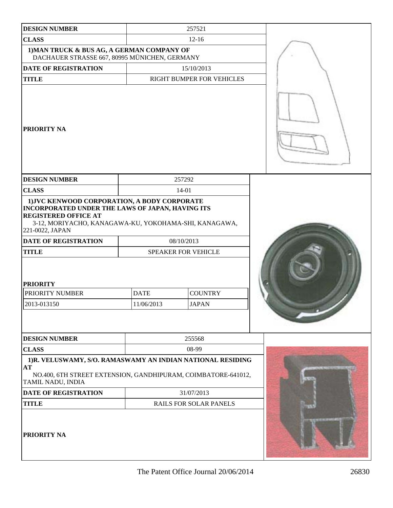| <b>DESIGN NUMBER</b>                                                                                                                                                                                                                       |                           | 257521                         |  |
|--------------------------------------------------------------------------------------------------------------------------------------------------------------------------------------------------------------------------------------------|---------------------------|--------------------------------|--|
| <b>CLASS</b>                                                                                                                                                                                                                               |                           | $12-16$                        |  |
| 1) MAN TRUCK & BUS AG, A GERMAN COMPANY OF<br>DACHAUER STRASSE 667, 80995 MÜNICHEN, GERMANY                                                                                                                                                |                           |                                |  |
| <b>DATE OF REGISTRATION</b>                                                                                                                                                                                                                |                           | 15/10/2013                     |  |
| <b>TITLE</b>                                                                                                                                                                                                                               |                           | RIGHT BUMPER FOR VEHICLES      |  |
| <b>PRIORITY NA</b>                                                                                                                                                                                                                         |                           |                                |  |
| <b>DESIGN NUMBER</b>                                                                                                                                                                                                                       | 257292                    |                                |  |
| <b>CLASS</b>                                                                                                                                                                                                                               | 14-01                     |                                |  |
| 1) JVC KENWOOD CORPORATION, A BODY CORPORATE<br>INCORPORATED UNDER THE LAWS OF JAPAN, HAVING ITS<br><b>REGISTERED OFFICE AT</b><br>3-12, MORIYACHO, KANAGAWA-KU, YOKOHAMA-SHI, KANAGAWA,<br>221-0022, JAPAN<br><b>DATE OF REGISTRATION</b> | 08/10/2013                |                                |  |
| <b>TITLE</b>                                                                                                                                                                                                                               | SPEAKER FOR VEHICLE       |                                |  |
| <b>PRIORITY</b><br>PRIORITY NUMBER<br>2013-013150                                                                                                                                                                                          | <b>DATE</b><br>11/06/2013 | <b>COUNTRY</b><br><b>JAPAN</b> |  |
| <b>DESIGN NUMBER</b>                                                                                                                                                                                                                       |                           | 255568                         |  |
| <b>CLASS</b>                                                                                                                                                                                                                               |                           | 08-99                          |  |
| 1)R. VELUSWAMY, S/O. RAMASWAMY AN INDIAN NATIONAL RESIDING                                                                                                                                                                                 |                           |                                |  |
| AT<br>NO.400, 6TH STREET EXTENSION, GANDHIPURAM, COIMBATORE-641012,<br>TAMIL NADU, INDIA                                                                                                                                                   |                           |                                |  |
| <b>DATE OF REGISTRATION</b>                                                                                                                                                                                                                | 31/07/2013                |                                |  |
| <b>TITLE</b>                                                                                                                                                                                                                               |                           | <b>RAILS FOR SOLAR PANELS</b>  |  |
| PRIORITY NA                                                                                                                                                                                                                                |                           |                                |  |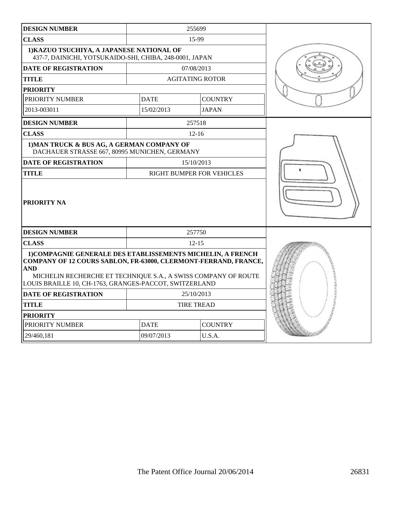| <b>DESIGN NUMBER</b>                                                                                                                                                                                                                                                     |                               | 255699                    |  |
|--------------------------------------------------------------------------------------------------------------------------------------------------------------------------------------------------------------------------------------------------------------------------|-------------------------------|---------------------------|--|
| <b>CLASS</b>                                                                                                                                                                                                                                                             |                               | 15-99                     |  |
| 1) KAZUO TSUCHIYA, A JAPANESE NATIONAL OF<br>437-7, DAINICHI, YOTSUKAIDO-SHI, CHIBA, 248-0001, JAPAN                                                                                                                                                                     |                               |                           |  |
| <b>DATE OF REGISTRATION</b>                                                                                                                                                                                                                                              |                               | 07/08/2013                |  |
| <b>TITLE</b>                                                                                                                                                                                                                                                             |                               | <b>AGITATING ROTOR</b>    |  |
| <b>PRIORITY</b>                                                                                                                                                                                                                                                          |                               |                           |  |
| PRIORITY NUMBER                                                                                                                                                                                                                                                          | <b>DATE</b>                   | <b>COUNTRY</b>            |  |
| 2013-003011                                                                                                                                                                                                                                                              | 15/02/2013                    | <b>JAPAN</b>              |  |
| <b>DESIGN NUMBER</b>                                                                                                                                                                                                                                                     |                               | 257518                    |  |
| <b>CLASS</b>                                                                                                                                                                                                                                                             |                               | $12 - 16$                 |  |
| 1) MAN TRUCK & BUS AG, A GERMAN COMPANY OF<br>DACHAUER STRASSE 667, 80995 MUNICHEN, GERMANY                                                                                                                                                                              |                               |                           |  |
| <b>DATE OF REGISTRATION</b>                                                                                                                                                                                                                                              |                               | 15/10/2013                |  |
| <b>TITLE</b>                                                                                                                                                                                                                                                             |                               | RIGHT BUMPER FOR VEHICLES |  |
| PRIORITY NA                                                                                                                                                                                                                                                              |                               |                           |  |
| <b>DESIGN NUMBER</b>                                                                                                                                                                                                                                                     |                               | 257750                    |  |
| <b>CLASS</b>                                                                                                                                                                                                                                                             |                               | $12 - 15$                 |  |
| 1) COMPAGNIE GENERALE DES ETABLISSEMENTS MICHELIN, A FRENCH<br>COMPANY OF 12 COURS SABLON, FR-63000, CLERMONT-FERRAND, FRANCE,<br><b>AND</b><br>MICHELIN RECHERCHE ET TECHNIQUE S.A., A SWISS COMPANY OF ROUTE<br>LOUIS BRAILLE 10, CH-1763, GRANGES-PACCOT, SWITZERLAND |                               |                           |  |
| <b>DATE OF REGISTRATION</b>                                                                                                                                                                                                                                              |                               | 25/10/2013                |  |
| <b>TITLE</b>                                                                                                                                                                                                                                                             |                               | <b>TIRE TREAD</b>         |  |
| <b>PRIORITY</b>                                                                                                                                                                                                                                                          |                               |                           |  |
| PRIORITY NUMBER                                                                                                                                                                                                                                                          | <b>COUNTRY</b><br><b>DATE</b> |                           |  |
| 29/460,181                                                                                                                                                                                                                                                               | 09/07/2013                    | U.S.A.                    |  |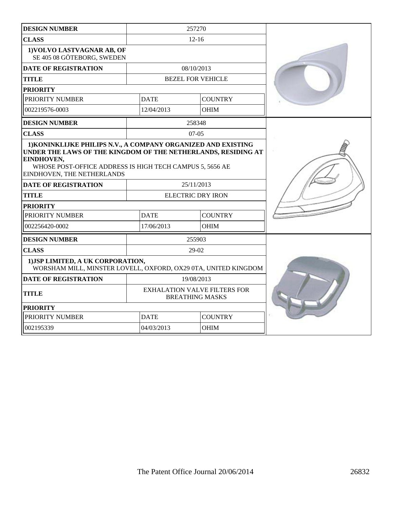| <b>DESIGN NUMBER</b>                                                                                                                                                                                                                   | 257270                                                        |                          |                |  |
|----------------------------------------------------------------------------------------------------------------------------------------------------------------------------------------------------------------------------------------|---------------------------------------------------------------|--------------------------|----------------|--|
| <b>CLASS</b>                                                                                                                                                                                                                           | $12 - 16$                                                     |                          |                |  |
| 1) VOLVO LASTVAGNAR AB, OF<br>SE 405 08 GÖTEBORG, SWEDEN                                                                                                                                                                               |                                                               |                          |                |  |
| <b>DATE OF REGISTRATION</b>                                                                                                                                                                                                            |                                                               | 08/10/2013               |                |  |
| <b>TITLE</b>                                                                                                                                                                                                                           |                                                               | <b>BEZEL FOR VEHICLE</b> |                |  |
| <b>PRIORITY</b>                                                                                                                                                                                                                        |                                                               |                          |                |  |
| PRIORITY NUMBER                                                                                                                                                                                                                        | <b>DATE</b>                                                   |                          | <b>COUNTRY</b> |  |
| 002219576-0003                                                                                                                                                                                                                         | 12/04/2013                                                    |                          | <b>OHIM</b>    |  |
| <b>DESIGN NUMBER</b>                                                                                                                                                                                                                   |                                                               | 258348                   |                |  |
| <b>CLASS</b>                                                                                                                                                                                                                           |                                                               | $07 - 05$                |                |  |
| 1) KONINKLIJKE PHILIPS N.V., A COMPANY ORGANIZED AND EXISTING<br>UNDER THE LAWS OF THE KINGDOM OF THE NETHERLANDS, RESIDING AT<br>EINDHOVEN,<br>WHOSE POST-OFFICE ADDRESS IS HIGH TECH CAMPUS 5, 5656 AE<br>EINDHOVEN, THE NETHERLANDS |                                                               |                          |                |  |
| <b>DATE OF REGISTRATION</b>                                                                                                                                                                                                            | 25/11/2013                                                    |                          |                |  |
| <b>TITLE</b>                                                                                                                                                                                                                           | <b>ELECTRIC DRY IRON</b>                                      |                          |                |  |
| <b>PRIORITY</b>                                                                                                                                                                                                                        |                                                               |                          |                |  |
| PRIORITY NUMBER                                                                                                                                                                                                                        | <b>DATE</b>                                                   | <b>COUNTRY</b>           |                |  |
| 002256420-0002                                                                                                                                                                                                                         | 17/06/2013                                                    |                          | <b>OHIM</b>    |  |
| <b>DESIGN NUMBER</b>                                                                                                                                                                                                                   | 255903                                                        |                          |                |  |
| <b>CLASS</b>                                                                                                                                                                                                                           | $29-02$                                                       |                          |                |  |
| 1) JSP LIMITED, A UK CORPORATION,<br>WORSHAM MILL, MINSTER LOVELL, OXFORD, OX29 0TA, UNITED KINGDOM                                                                                                                                    |                                                               |                          |                |  |
| <b>DATE OF REGISTRATION</b>                                                                                                                                                                                                            | 19/08/2013                                                    |                          |                |  |
| <b>TITLE</b>                                                                                                                                                                                                                           | <b>EXHALATION VALVE FILTERS FOR</b><br><b>BREATHING MASKS</b> |                          |                |  |
| <b>PRIORITY</b>                                                                                                                                                                                                                        |                                                               |                          |                |  |
| PRIORITY NUMBER                                                                                                                                                                                                                        | <b>DATE</b>                                                   |                          | <b>COUNTRY</b> |  |
| 002195339                                                                                                                                                                                                                              | 04/03/2013                                                    |                          | <b>OHIM</b>    |  |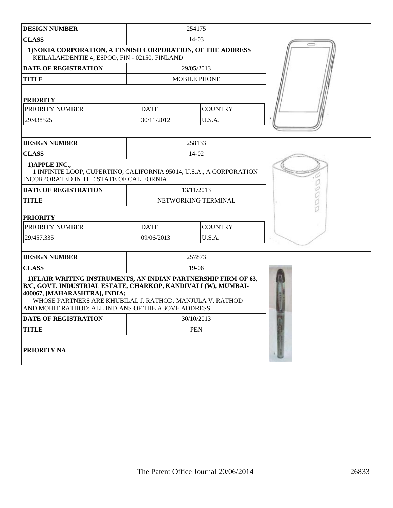| <b>DESIGN NUMBER</b>                                                                                                                                                                                             |                                                                                          | 254175              |  |  |
|------------------------------------------------------------------------------------------------------------------------------------------------------------------------------------------------------------------|------------------------------------------------------------------------------------------|---------------------|--|--|
| <b>CLASS</b>                                                                                                                                                                                                     |                                                                                          | 14-03               |  |  |
| 1) NOKIA CORPORATION, A FINNISH CORPORATION, OF THE ADDRESS<br>KEILALAHDENTIE 4, ESPOO, FIN - 02150, FINLAND                                                                                                     |                                                                                          |                     |  |  |
| <b>DATE OF REGISTRATION</b>                                                                                                                                                                                      |                                                                                          | 29/05/2013          |  |  |
| <b>TITLE</b>                                                                                                                                                                                                     |                                                                                          | <b>MOBILE PHONE</b> |  |  |
| <b>PRIORITY</b>                                                                                                                                                                                                  |                                                                                          |                     |  |  |
| PRIORITY NUMBER                                                                                                                                                                                                  | <b>DATE</b>                                                                              | <b>COUNTRY</b>      |  |  |
| 29/438525                                                                                                                                                                                                        | 30/11/2012                                                                               | U.S.A.              |  |  |
|                                                                                                                                                                                                                  |                                                                                          |                     |  |  |
| <b>DESIGN NUMBER</b>                                                                                                                                                                                             |                                                                                          | 258133              |  |  |
| <b>CLASS</b>                                                                                                                                                                                                     |                                                                                          | 14-02               |  |  |
| 1) APPLE INC.,<br>1 INFINITE LOOP, CUPERTINO, CALIFORNIA 95014, U.S.A., A CORPORATION<br>INCORPORATED IN THE STATE OF CALIFORNIA                                                                                 |                                                                                          |                     |  |  |
| <b>DATE OF REGISTRATION</b>                                                                                                                                                                                      |                                                                                          | 13/11/2013          |  |  |
| <b>TITLE</b>                                                                                                                                                                                                     | NETWORKING TERMINAL                                                                      |                     |  |  |
| <b>PRIORITY</b>                                                                                                                                                                                                  |                                                                                          |                     |  |  |
| PRIORITY NUMBER                                                                                                                                                                                                  | <b>DATE</b><br><b>COUNTRY</b>                                                            |                     |  |  |
| 29/457,335                                                                                                                                                                                                       | 09/06/2013<br>U.S.A.                                                                     |                     |  |  |
|                                                                                                                                                                                                                  |                                                                                          |                     |  |  |
| <b>DESIGN NUMBER</b>                                                                                                                                                                                             |                                                                                          | 257873              |  |  |
|                                                                                                                                                                                                                  | <b>CLASS</b><br>19-06<br>1) FLAIR WRITING INSTRUMENTS, AN INDIAN PARTNERSHIP FIRM OF 63, |                     |  |  |
| B/C, GOVT. INDUSTRIAL ESTATE, CHARKOP, KANDIVALI (W), MUMBAI-<br>400067, [MAHARASHTRA], INDIA;<br>WHOSE PARTNERS ARE KHUBILAL J. RATHOD, MANJULA V. RATHOD<br>AND MOHIT RATHOD; ALL INDIANS OF THE ABOVE ADDRESS |                                                                                          |                     |  |  |
| DATE OF REGISTRATION                                                                                                                                                                                             |                                                                                          | 30/10/2013          |  |  |
| <b>TITLE</b>                                                                                                                                                                                                     |                                                                                          | <b>PEN</b>          |  |  |
| PRIORITY NA                                                                                                                                                                                                      |                                                                                          |                     |  |  |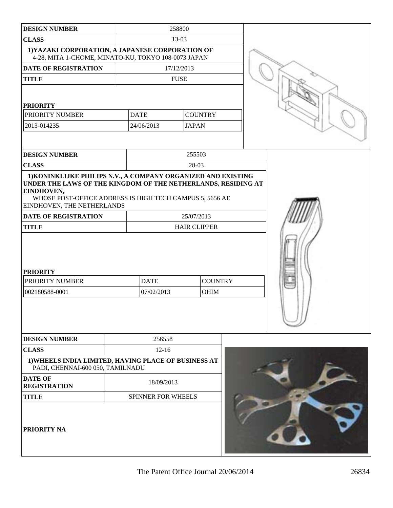| <b>DESIGN NUMBER</b>                                                                                                                                                                                                                   |            | 258800             |                     |                |  |  |
|----------------------------------------------------------------------------------------------------------------------------------------------------------------------------------------------------------------------------------------|------------|--------------------|---------------------|----------------|--|--|
| <b>CLASS</b>                                                                                                                                                                                                                           |            | 13-03              |                     |                |  |  |
| 1) YAZAKI CORPORATION, A JAPANESE CORPORATION OF<br>4-28, MITA 1-CHOME, MINATO-KU, TOKYO 108-0073 JAPAN                                                                                                                                |            |                    |                     |                |  |  |
| DATE OF REGISTRATION                                                                                                                                                                                                                   |            | 17/12/2013         |                     |                |  |  |
| <b>TITLE</b>                                                                                                                                                                                                                           |            |                    | <b>FUSE</b>         |                |  |  |
| <b>PRIORITY</b>                                                                                                                                                                                                                        |            |                    |                     |                |  |  |
| PRIORITY NUMBER                                                                                                                                                                                                                        |            | <b>DATE</b>        | <b>COUNTRY</b>      |                |  |  |
| 2013-014235                                                                                                                                                                                                                            |            | 24/06/2013         | <b>JAPAN</b>        |                |  |  |
|                                                                                                                                                                                                                                        |            |                    |                     |                |  |  |
| <b>DESIGN NUMBER</b>                                                                                                                                                                                                                   |            |                    | 255503              |                |  |  |
| <b>CLASS</b>                                                                                                                                                                                                                           |            |                    | 28-03               |                |  |  |
| 1) KONINKLIJKE PHILIPS N.V., A COMPANY ORGANIZED AND EXISTING<br>UNDER THE LAWS OF THE KINGDOM OF THE NETHERLANDS, RESIDING AT<br>EINDHOVEN,<br>WHOSE POST-OFFICE ADDRESS IS HIGH TECH CAMPUS 5, 5656 AE<br>EINDHOVEN, THE NETHERLANDS |            |                    |                     |                |  |  |
| DATE OF REGISTRATION                                                                                                                                                                                                                   |            |                    | 25/07/2013          |                |  |  |
| <b>TITLE</b>                                                                                                                                                                                                                           |            |                    | <b>HAIR CLIPPER</b> |                |  |  |
| <b>PRIORITY</b><br>PRIORITY NUMBER                                                                                                                                                                                                     |            |                    |                     | <b>COUNTRY</b> |  |  |
|                                                                                                                                                                                                                                        |            | <b>DATE</b>        |                     |                |  |  |
| 002180588-0001                                                                                                                                                                                                                         | 07/02/2013 |                    |                     | OHIM           |  |  |
|                                                                                                                                                                                                                                        |            |                    |                     |                |  |  |
| <b>DESIGN NUMBER</b>                                                                                                                                                                                                                   |            | 256558             |                     |                |  |  |
| <b>CLASS</b>                                                                                                                                                                                                                           |            | $12 - 16$          |                     |                |  |  |
| 1) WHEELS INDIA LIMITED, HAVING PLACE OF BUSINESS AT<br>PADI, CHENNAI-600 050, TAMILNADU                                                                                                                                               |            |                    |                     |                |  |  |
| <b>DATE OF</b><br><b>REGISTRATION</b>                                                                                                                                                                                                  |            | 18/09/2013         |                     |                |  |  |
| <b>TITLE</b>                                                                                                                                                                                                                           |            | SPINNER FOR WHEELS |                     |                |  |  |
| PRIORITY NA                                                                                                                                                                                                                            |            |                    |                     |                |  |  |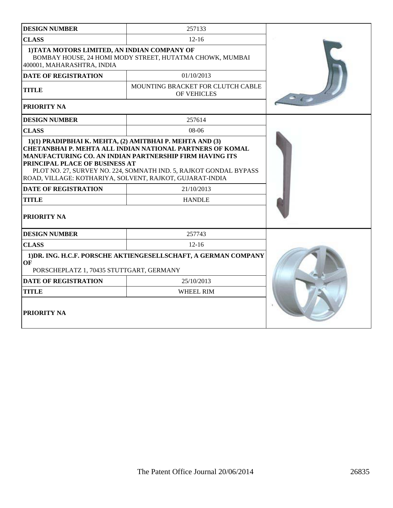| <b>DESIGN NUMBER</b>                                                                                                                                                                                                                                                                           | 257133                                           |  |
|------------------------------------------------------------------------------------------------------------------------------------------------------------------------------------------------------------------------------------------------------------------------------------------------|--------------------------------------------------|--|
| <b>CLASS</b>                                                                                                                                                                                                                                                                                   | $12 - 16$                                        |  |
| 1) TATA MOTORS LIMITED, AN INDIAN COMPANY OF<br>BOMBAY HOUSE, 24 HOMI MODY STREET, HUTATMA CHOWK, MUMBAI<br>400001, MAHARASHTRA, INDIA                                                                                                                                                         |                                                  |  |
| <b>DATE OF REGISTRATION</b>                                                                                                                                                                                                                                                                    | 01/10/2013                                       |  |
| <b>TITLE</b>                                                                                                                                                                                                                                                                                   | MOUNTING BRACKET FOR CLUTCH CABLE<br>OF VEHICLES |  |
| PRIORITY NA                                                                                                                                                                                                                                                                                    |                                                  |  |
| <b>DESIGN NUMBER</b>                                                                                                                                                                                                                                                                           | 257614                                           |  |
| <b>CLASS</b>                                                                                                                                                                                                                                                                                   | $08-06$                                          |  |
| <b>CHETANBHAI P. MEHTA ALL INDIAN NATIONAL PARTNERS OF KOMAL</b><br>MANUFACTURING CO. AN INDIAN PARTNERSHIP FIRM HAVING ITS<br>PRINCIPAL PLACE OF BUSINESS AT<br>PLOT NO. 27, SURVEY NO. 224, SOMNATH IND. 5, RAJKOT GONDAL BYPASS<br>ROAD, VILLAGE: KOTHARIYA, SOLVENT, RAJKOT, GUJARAT-INDIA |                                                  |  |
| <b>DATE OF REGISTRATION</b>                                                                                                                                                                                                                                                                    | 21/10/2013                                       |  |
| <b>TITLE</b>                                                                                                                                                                                                                                                                                   | <b>HANDLE</b>                                    |  |
| <b>PRIORITY NA</b>                                                                                                                                                                                                                                                                             |                                                  |  |
| <b>DESIGN NUMBER</b>                                                                                                                                                                                                                                                                           | 257743                                           |  |
| <b>CLASS</b>                                                                                                                                                                                                                                                                                   | $12 - 16$                                        |  |
| 1) DR. ING. H.C.F. PORSCHE AKTIENGESELLSCHAFT, A GERMAN COMPANY<br>OF<br>PORSCHEPLATZ 1, 70435 STUTTGART, GERMANY                                                                                                                                                                              |                                                  |  |
| <b>DATE OF REGISTRATION</b>                                                                                                                                                                                                                                                                    | 25/10/2013                                       |  |
| <b>TITLE</b>                                                                                                                                                                                                                                                                                   | <b>WHEEL RIM</b>                                 |  |
| PRIORITY NA                                                                                                                                                                                                                                                                                    |                                                  |  |